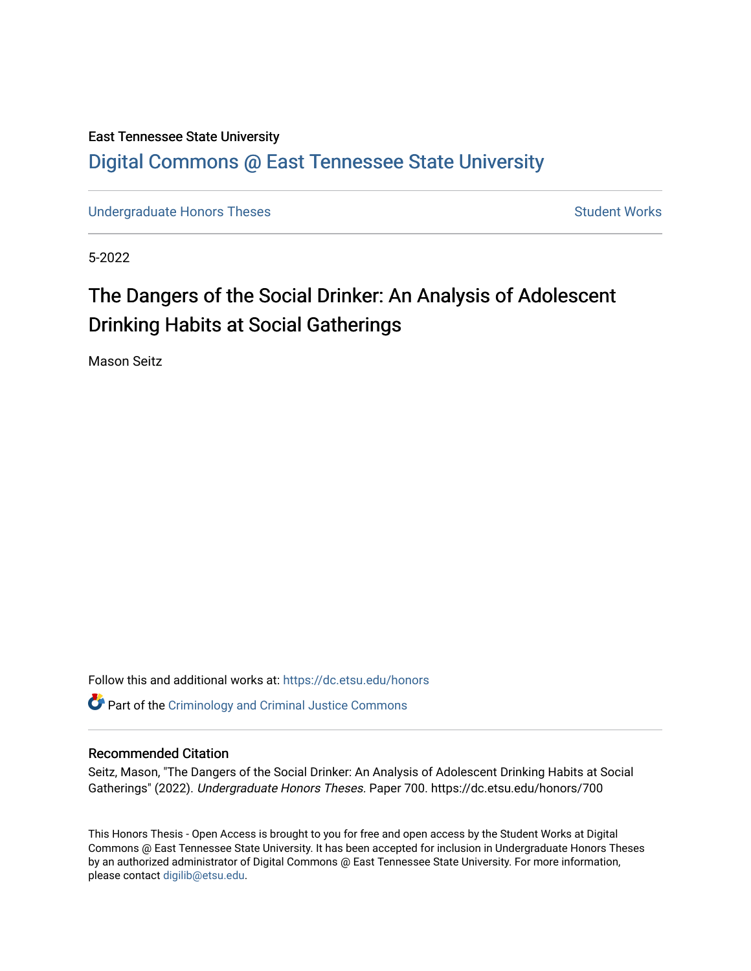# East Tennessee State University [Digital Commons @ East Tennessee State University](https://dc.etsu.edu/)

[Undergraduate Honors Theses](https://dc.etsu.edu/honors) Student Works

5-2022

# The Dangers of the Social Drinker: An Analysis of Adolescent Drinking Habits at Social Gatherings

Mason Seitz

Follow this and additional works at: [https://dc.etsu.edu/honors](https://dc.etsu.edu/honors?utm_source=dc.etsu.edu%2Fhonors%2F700&utm_medium=PDF&utm_campaign=PDFCoverPages)

**Part of the [Criminology and Criminal Justice Commons](http://network.bepress.com/hgg/discipline/367?utm_source=dc.etsu.edu%2Fhonors%2F700&utm_medium=PDF&utm_campaign=PDFCoverPages)** 

# Recommended Citation

Seitz, Mason, "The Dangers of the Social Drinker: An Analysis of Adolescent Drinking Habits at Social Gatherings" (2022). Undergraduate Honors Theses. Paper 700. https://dc.etsu.edu/honors/700

This Honors Thesis - Open Access is brought to you for free and open access by the Student Works at Digital Commons @ East Tennessee State University. It has been accepted for inclusion in Undergraduate Honors Theses by an authorized administrator of Digital Commons @ East Tennessee State University. For more information, please contact [digilib@etsu.edu.](mailto:digilib@etsu.edu)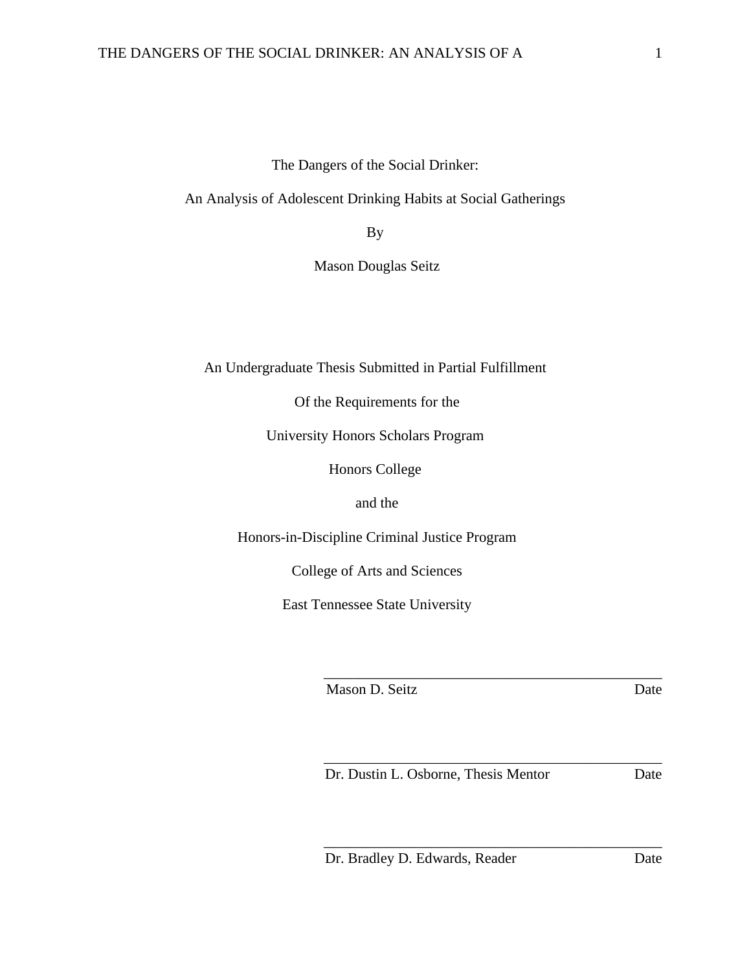The Dangers of the Social Drinker:

An Analysis of Adolescent Drinking Habits at Social Gatherings

By

Mason Douglas Seitz

An Undergraduate Thesis Submitted in Partial Fulfillment

Of the Requirements for the

University Honors Scholars Program

Honors College

and the

Honors-in-Discipline Criminal Justice Program

College of Arts and Sciences

East Tennessee State University

Mason D. Seitz Date

Dr. Dustin L. Osborne, Thesis Mentor Date

\_\_\_\_\_\_\_\_\_\_\_\_\_\_\_\_\_\_\_\_\_\_\_\_\_\_\_\_\_\_\_\_\_\_\_\_\_\_\_\_\_\_\_\_\_\_

\_\_\_\_\_\_\_\_\_\_\_\_\_\_\_\_\_\_\_\_\_\_\_\_\_\_\_\_\_\_\_\_\_\_\_\_\_\_\_\_\_\_\_\_\_\_

\_\_\_\_\_\_\_\_\_\_\_\_\_\_\_\_\_\_\_\_\_\_\_\_\_\_\_\_\_\_\_\_\_\_\_\_\_\_\_\_\_\_\_\_\_\_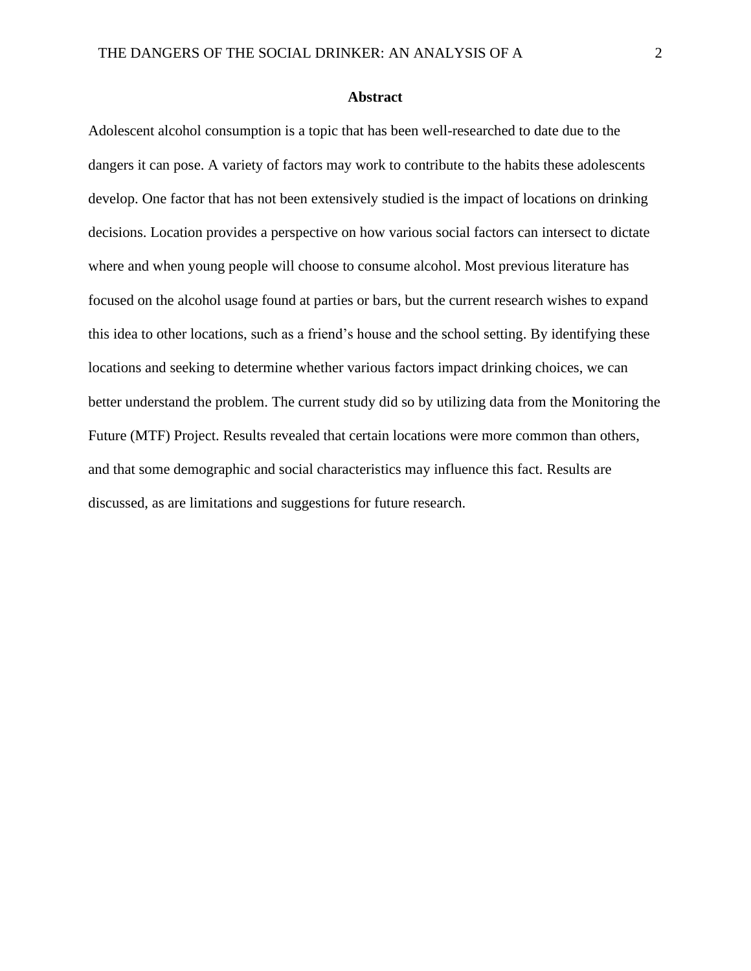## **Abstract**

Adolescent alcohol consumption is a topic that has been well-researched to date due to the dangers it can pose. A variety of factors may work to contribute to the habits these adolescents develop. One factor that has not been extensively studied is the impact of locations on drinking decisions. Location provides a perspective on how various social factors can intersect to dictate where and when young people will choose to consume alcohol. Most previous literature has focused on the alcohol usage found at parties or bars, but the current research wishes to expand this idea to other locations, such as a friend's house and the school setting. By identifying these locations and seeking to determine whether various factors impact drinking choices, we can better understand the problem. The current study did so by utilizing data from the Monitoring the Future (MTF) Project. Results revealed that certain locations were more common than others, and that some demographic and social characteristics may influence this fact. Results are discussed, as are limitations and suggestions for future research.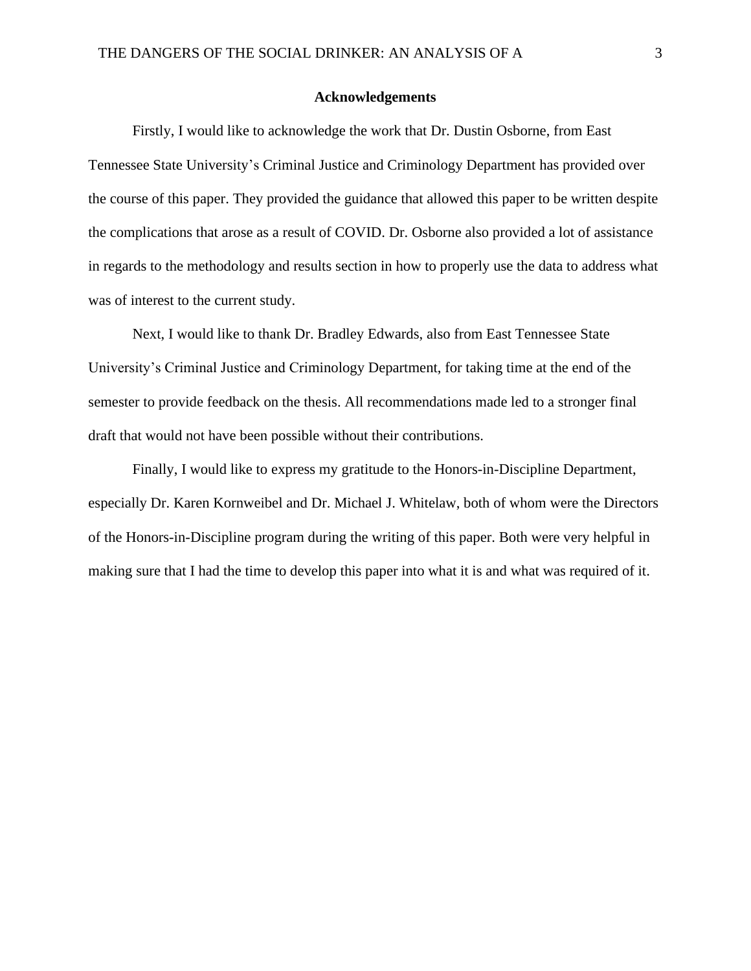## **Acknowledgements**

Firstly, I would like to acknowledge the work that Dr. Dustin Osborne, from East Tennessee State University's Criminal Justice and Criminology Department has provided over the course of this paper. They provided the guidance that allowed this paper to be written despite the complications that arose as a result of COVID. Dr. Osborne also provided a lot of assistance in regards to the methodology and results section in how to properly use the data to address what was of interest to the current study.

Next, I would like to thank Dr. Bradley Edwards, also from East Tennessee State University's Criminal Justice and Criminology Department, for taking time at the end of the semester to provide feedback on the thesis. All recommendations made led to a stronger final draft that would not have been possible without their contributions.

Finally, I would like to express my gratitude to the Honors-in-Discipline Department, especially Dr. Karen Kornweibel and Dr. Michael J. Whitelaw, both of whom were the Directors of the Honors-in-Discipline program during the writing of this paper. Both were very helpful in making sure that I had the time to develop this paper into what it is and what was required of it.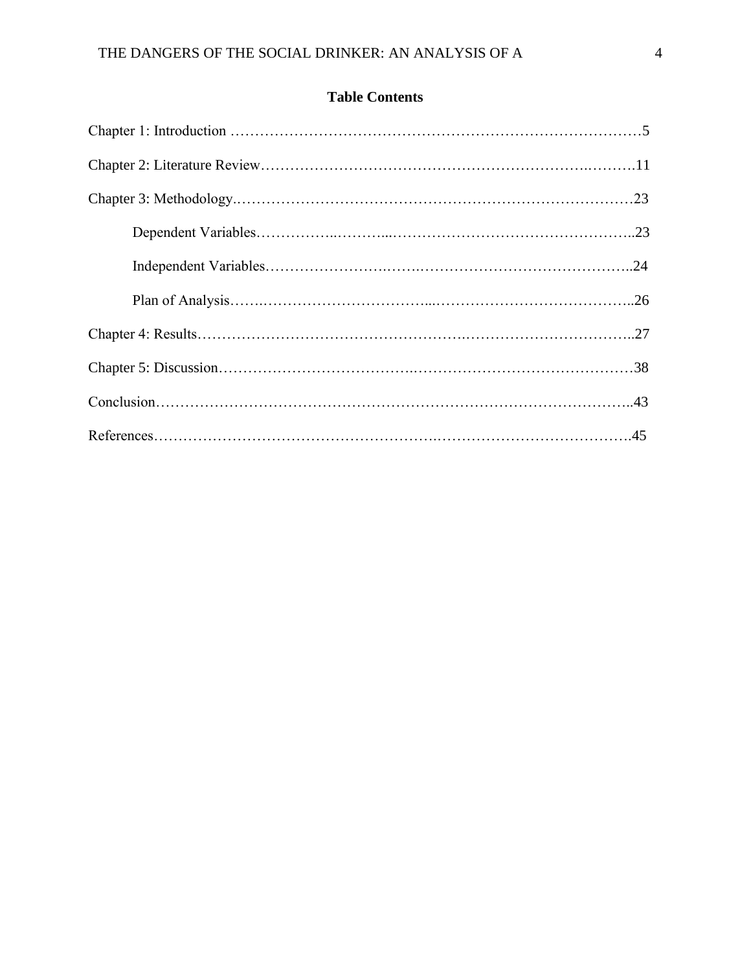# **Table Contents**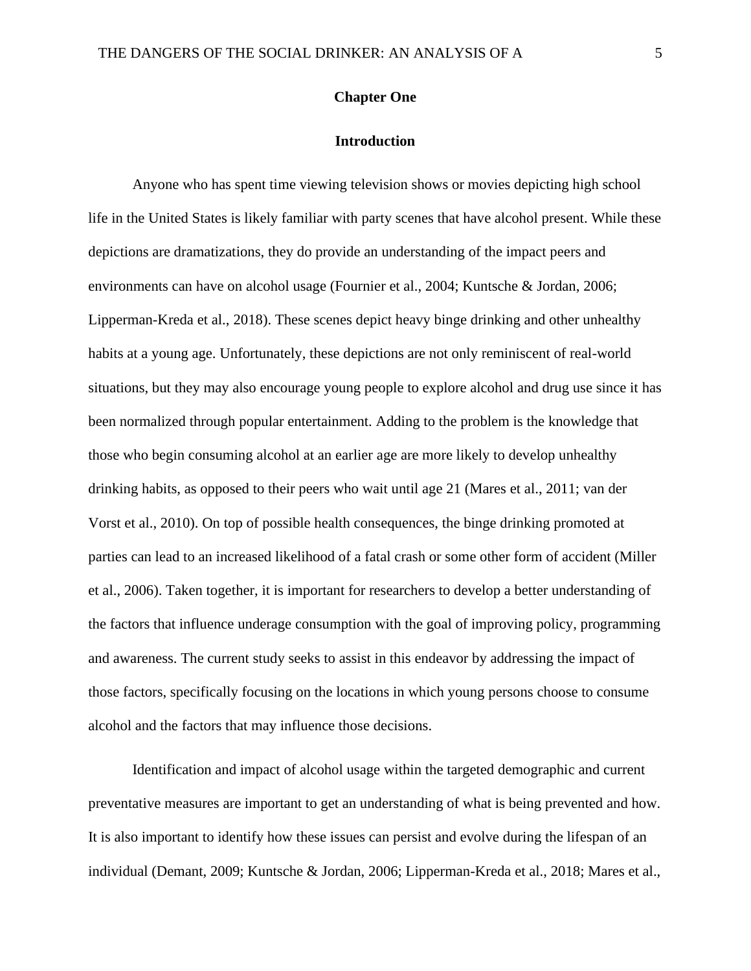# **Chapter One**

## **Introduction**

Anyone who has spent time viewing television shows or movies depicting high school life in the United States is likely familiar with party scenes that have alcohol present. While these depictions are dramatizations, they do provide an understanding of the impact peers and environments can have on alcohol usage (Fournier et al., 2004; Kuntsche & Jordan, 2006; Lipperman-Kreda et al., 2018). These scenes depict heavy binge drinking and other unhealthy habits at a young age. Unfortunately, these depictions are not only reminiscent of real-world situations, but they may also encourage young people to explore alcohol and drug use since it has been normalized through popular entertainment. Adding to the problem is the knowledge that those who begin consuming alcohol at an earlier age are more likely to develop unhealthy drinking habits, as opposed to their peers who wait until age 21 (Mares et al., 2011; van der Vorst et al., 2010). On top of possible health consequences, the binge drinking promoted at parties can lead to an increased likelihood of a fatal crash or some other form of accident (Miller et al., 2006). Taken together, it is important for researchers to develop a better understanding of the factors that influence underage consumption with the goal of improving policy, programming and awareness. The current study seeks to assist in this endeavor by addressing the impact of those factors, specifically focusing on the locations in which young persons choose to consume alcohol and the factors that may influence those decisions.

Identification and impact of alcohol usage within the targeted demographic and current preventative measures are important to get an understanding of what is being prevented and how. It is also important to identify how these issues can persist and evolve during the lifespan of an individual (Demant, 2009; Kuntsche & Jordan, 2006; Lipperman-Kreda et al., 2018; Mares et al.,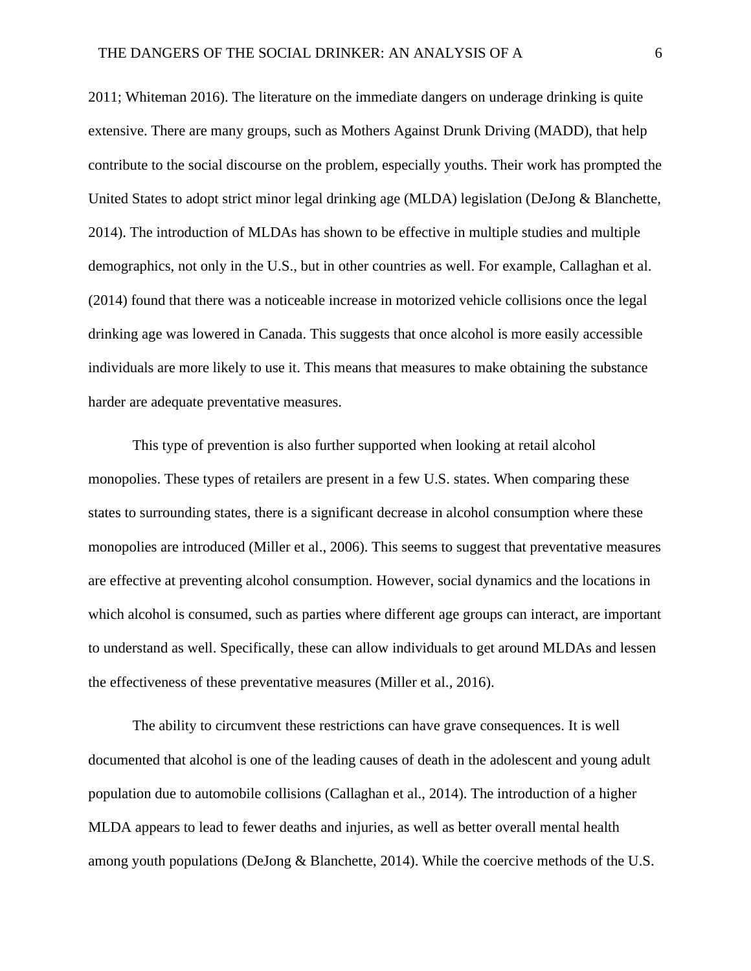2011; Whiteman 2016). The literature on the immediate dangers on underage drinking is quite extensive. There are many groups, such as Mothers Against Drunk Driving (MADD), that help contribute to the social discourse on the problem, especially youths. Their work has prompted the United States to adopt strict minor legal drinking age (MLDA) legislation (DeJong & Blanchette, 2014). The introduction of MLDAs has shown to be effective in multiple studies and multiple demographics, not only in the U.S., but in other countries as well. For example, Callaghan et al. (2014) found that there was a noticeable increase in motorized vehicle collisions once the legal drinking age was lowered in Canada. This suggests that once alcohol is more easily accessible individuals are more likely to use it. This means that measures to make obtaining the substance harder are adequate preventative measures.

This type of prevention is also further supported when looking at retail alcohol monopolies. These types of retailers are present in a few U.S. states. When comparing these states to surrounding states, there is a significant decrease in alcohol consumption where these monopolies are introduced (Miller et al., 2006). This seems to suggest that preventative measures are effective at preventing alcohol consumption. However, social dynamics and the locations in which alcohol is consumed, such as parties where different age groups can interact, are important to understand as well. Specifically, these can allow individuals to get around MLDAs and lessen the effectiveness of these preventative measures (Miller et al., 2016).

The ability to circumvent these restrictions can have grave consequences. It is well documented that alcohol is one of the leading causes of death in the adolescent and young adult population due to automobile collisions (Callaghan et al., 2014). The introduction of a higher MLDA appears to lead to fewer deaths and injuries, as well as better overall mental health among youth populations (DeJong & Blanchette, 2014). While the coercive methods of the U.S.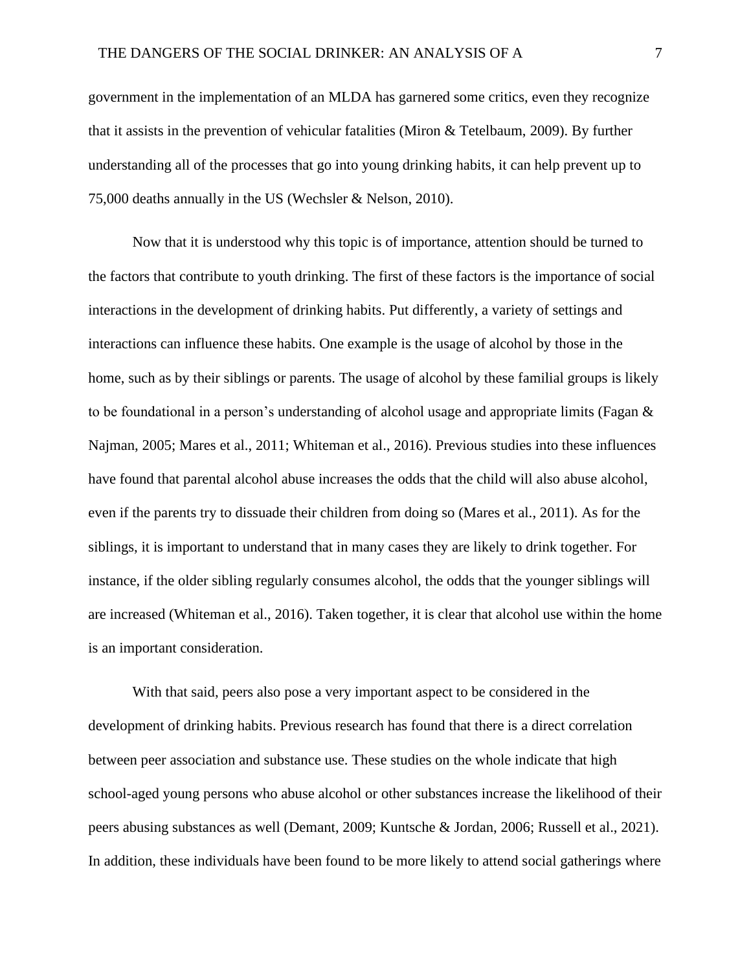government in the implementation of an MLDA has garnered some critics, even they recognize that it assists in the prevention of vehicular fatalities (Miron & Tetelbaum, 2009). By further understanding all of the processes that go into young drinking habits, it can help prevent up to 75,000 deaths annually in the US (Wechsler & Nelson, 2010).

Now that it is understood why this topic is of importance, attention should be turned to the factors that contribute to youth drinking. The first of these factors is the importance of social interactions in the development of drinking habits. Put differently, a variety of settings and interactions can influence these habits. One example is the usage of alcohol by those in the home, such as by their siblings or parents. The usage of alcohol by these familial groups is likely to be foundational in a person's understanding of alcohol usage and appropriate limits (Fagan & Najman, 2005; Mares et al., 2011; Whiteman et al., 2016). Previous studies into these influences have found that parental alcohol abuse increases the odds that the child will also abuse alcohol, even if the parents try to dissuade their children from doing so (Mares et al., 2011). As for the siblings, it is important to understand that in many cases they are likely to drink together. For instance, if the older sibling regularly consumes alcohol, the odds that the younger siblings will are increased (Whiteman et al., 2016). Taken together, it is clear that alcohol use within the home is an important consideration.

With that said, peers also pose a very important aspect to be considered in the development of drinking habits. Previous research has found that there is a direct correlation between peer association and substance use. These studies on the whole indicate that high school-aged young persons who abuse alcohol or other substances increase the likelihood of their peers abusing substances as well (Demant, 2009; Kuntsche & Jordan, 2006; Russell et al., 2021). In addition, these individuals have been found to be more likely to attend social gatherings where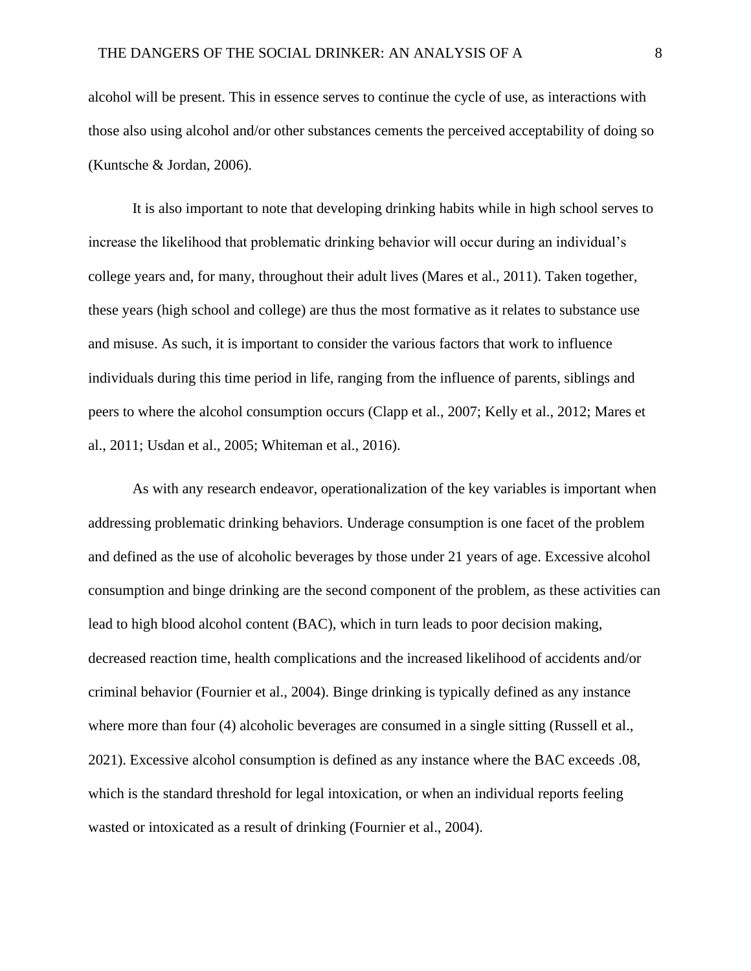alcohol will be present. This in essence serves to continue the cycle of use, as interactions with those also using alcohol and/or other substances cements the perceived acceptability of doing so (Kuntsche & Jordan, 2006).

It is also important to note that developing drinking habits while in high school serves to increase the likelihood that problematic drinking behavior will occur during an individual's college years and, for many, throughout their adult lives (Mares et al., 2011). Taken together, these years (high school and college) are thus the most formative as it relates to substance use and misuse. As such, it is important to consider the various factors that work to influence individuals during this time period in life, ranging from the influence of parents, siblings and peers to where the alcohol consumption occurs (Clapp et al., 2007; Kelly et al., 2012; Mares et al., 2011; Usdan et al., 2005; Whiteman et al., 2016).

As with any research endeavor, operationalization of the key variables is important when addressing problematic drinking behaviors. Underage consumption is one facet of the problem and defined as the use of alcoholic beverages by those under 21 years of age. Excessive alcohol consumption and binge drinking are the second component of the problem, as these activities can lead to high blood alcohol content (BAC), which in turn leads to poor decision making, decreased reaction time, health complications and the increased likelihood of accidents and/or criminal behavior (Fournier et al., 2004). Binge drinking is typically defined as any instance where more than four (4) alcoholic beverages are consumed in a single sitting (Russell et al., 2021). Excessive alcohol consumption is defined as any instance where the BAC exceeds .08, which is the standard threshold for legal intoxication, or when an individual reports feeling wasted or intoxicated as a result of drinking (Fournier et al., 2004).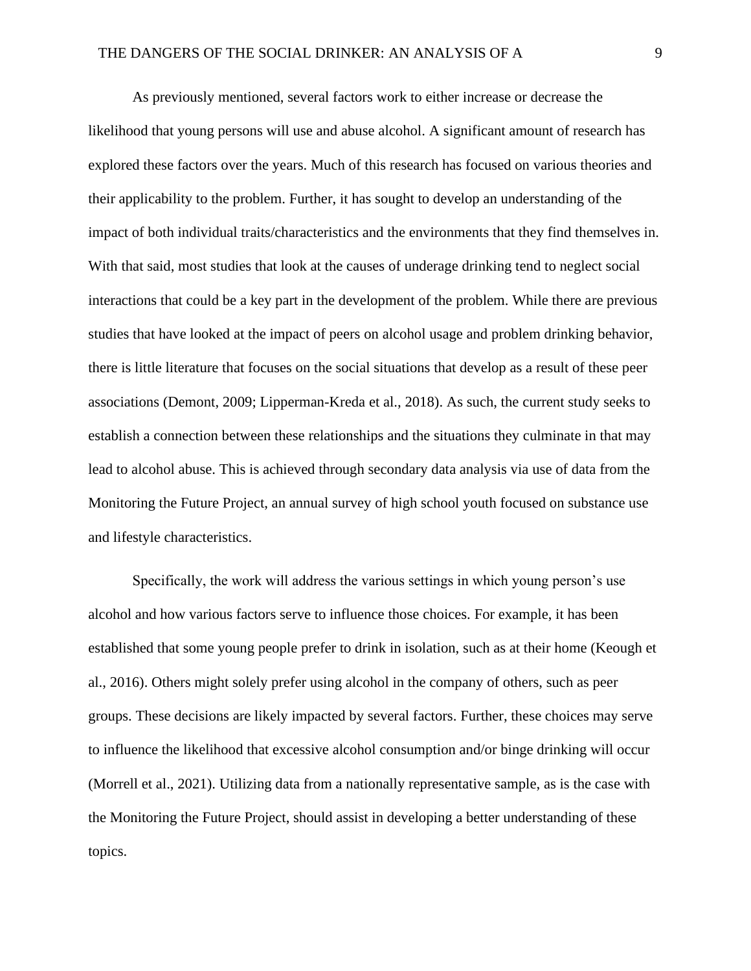As previously mentioned, several factors work to either increase or decrease the likelihood that young persons will use and abuse alcohol. A significant amount of research has explored these factors over the years. Much of this research has focused on various theories and their applicability to the problem. Further, it has sought to develop an understanding of the impact of both individual traits/characteristics and the environments that they find themselves in. With that said, most studies that look at the causes of underage drinking tend to neglect social interactions that could be a key part in the development of the problem. While there are previous studies that have looked at the impact of peers on alcohol usage and problem drinking behavior, there is little literature that focuses on the social situations that develop as a result of these peer associations (Demont, 2009; Lipperman-Kreda et al., 2018). As such, the current study seeks to establish a connection between these relationships and the situations they culminate in that may lead to alcohol abuse. This is achieved through secondary data analysis via use of data from the Monitoring the Future Project, an annual survey of high school youth focused on substance use and lifestyle characteristics.

Specifically, the work will address the various settings in which young person's use alcohol and how various factors serve to influence those choices. For example, it has been established that some young people prefer to drink in isolation, such as at their home (Keough et al., 2016). Others might solely prefer using alcohol in the company of others, such as peer groups. These decisions are likely impacted by several factors. Further, these choices may serve to influence the likelihood that excessive alcohol consumption and/or binge drinking will occur (Morrell et al., 2021). Utilizing data from a nationally representative sample, as is the case with the Monitoring the Future Project, should assist in developing a better understanding of these topics.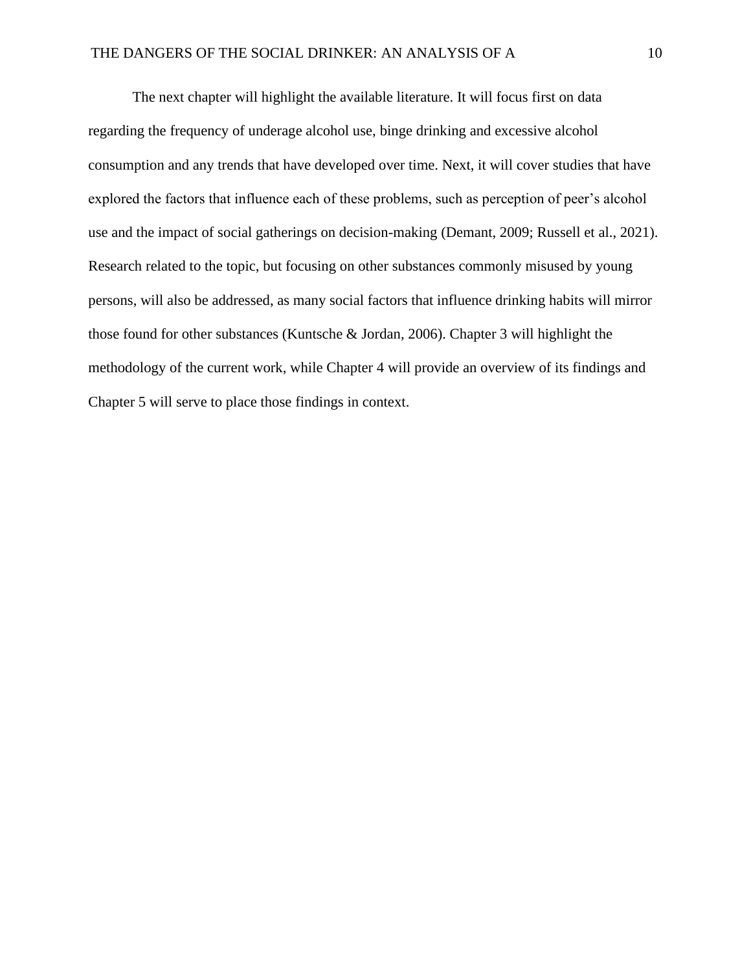The next chapter will highlight the available literature. It will focus first on data regarding the frequency of underage alcohol use, binge drinking and excessive alcohol consumption and any trends that have developed over time. Next, it will cover studies that have explored the factors that influence each of these problems, such as perception of peer's alcohol use and the impact of social gatherings on decision-making (Demant, 2009; Russell et al., 2021). Research related to the topic, but focusing on other substances commonly misused by young persons, will also be addressed, as many social factors that influence drinking habits will mirror those found for other substances (Kuntsche & Jordan, 2006). Chapter 3 will highlight the methodology of the current work, while Chapter 4 will provide an overview of its findings and Chapter 5 will serve to place those findings in context.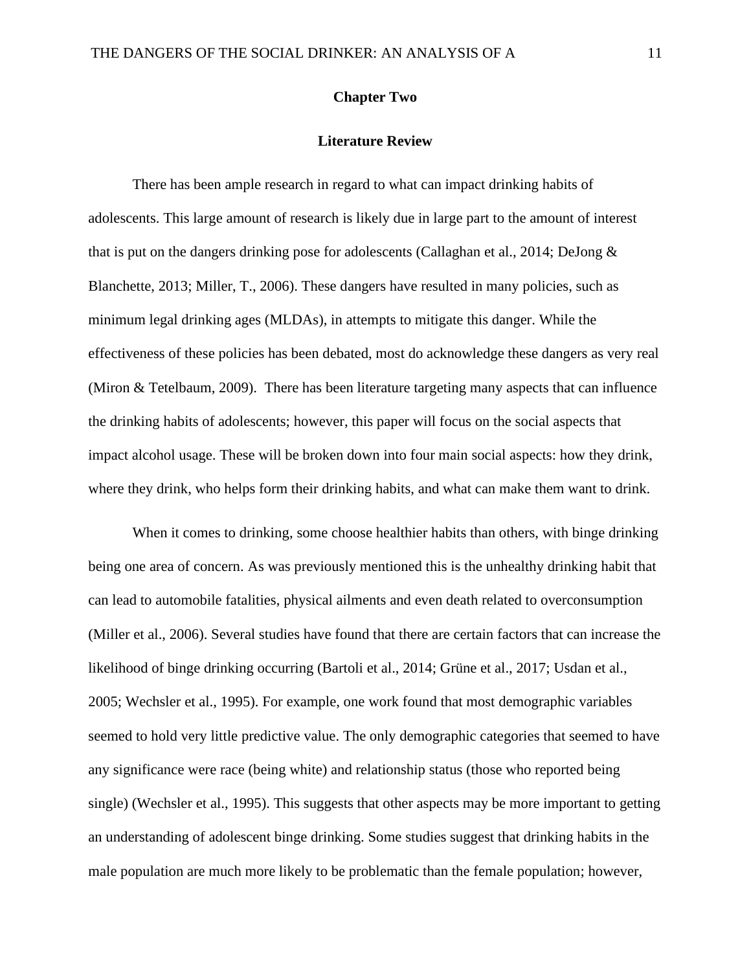# **Chapter Two**

# **Literature Review**

There has been ample research in regard to what can impact drinking habits of adolescents. This large amount of research is likely due in large part to the amount of interest that is put on the dangers drinking pose for adolescents (Callaghan et al., 2014; DeJong & Blanchette, 2013; Miller, T., 2006). These dangers have resulted in many policies, such as minimum legal drinking ages (MLDAs), in attempts to mitigate this danger. While the effectiveness of these policies has been debated, most do acknowledge these dangers as very real (Miron & Tetelbaum, 2009). There has been literature targeting many aspects that can influence the drinking habits of adolescents; however, this paper will focus on the social aspects that impact alcohol usage. These will be broken down into four main social aspects: how they drink, where they drink, who helps form their drinking habits, and what can make them want to drink.

When it comes to drinking, some choose healthier habits than others, with binge drinking being one area of concern. As was previously mentioned this is the unhealthy drinking habit that can lead to automobile fatalities, physical ailments and even death related to overconsumption (Miller et al., 2006). Several studies have found that there are certain factors that can increase the likelihood of binge drinking occurring (Bartoli et al., 2014; Grüne et al., 2017; Usdan et al., 2005; Wechsler et al., 1995). For example, one work found that most demographic variables seemed to hold very little predictive value. The only demographic categories that seemed to have any significance were race (being white) and relationship status (those who reported being single) (Wechsler et al., 1995). This suggests that other aspects may be more important to getting an understanding of adolescent binge drinking. Some studies suggest that drinking habits in the male population are much more likely to be problematic than the female population; however,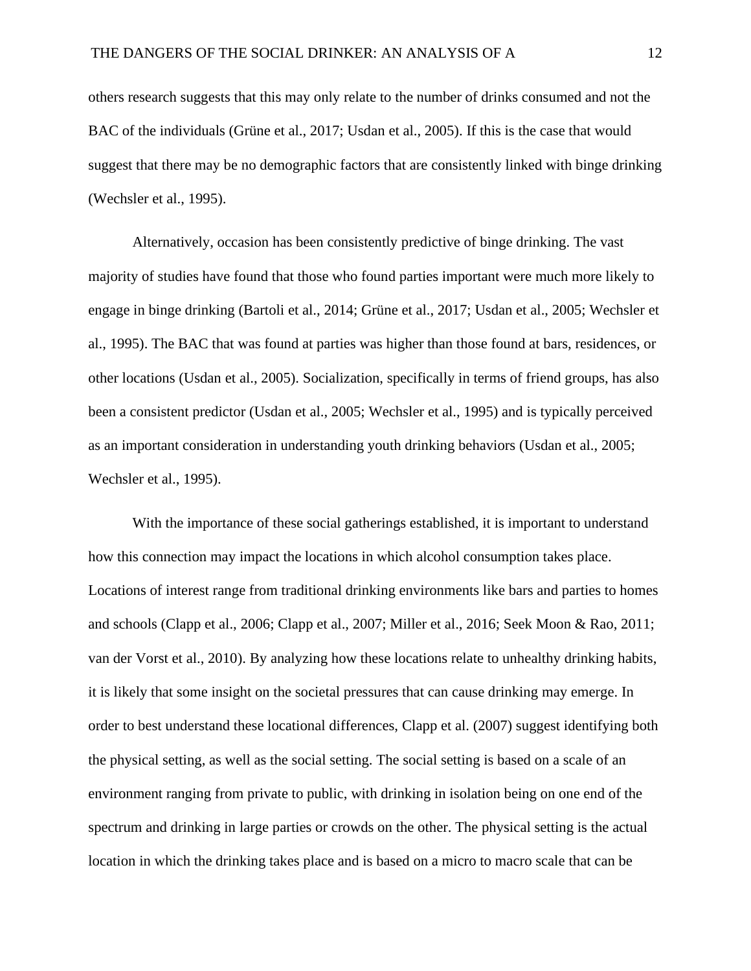others research suggests that this may only relate to the number of drinks consumed and not the BAC of the individuals (Grüne et al., 2017; Usdan et al., 2005). If this is the case that would suggest that there may be no demographic factors that are consistently linked with binge drinking (Wechsler et al., 1995).

Alternatively, occasion has been consistently predictive of binge drinking. The vast majority of studies have found that those who found parties important were much more likely to engage in binge drinking (Bartoli et al., 2014; Grüne et al., 2017; Usdan et al., 2005; Wechsler et al., 1995). The BAC that was found at parties was higher than those found at bars, residences, or other locations (Usdan et al., 2005). Socialization, specifically in terms of friend groups, has also been a consistent predictor (Usdan et al., 2005; Wechsler et al., 1995) and is typically perceived as an important consideration in understanding youth drinking behaviors (Usdan et al., 2005; Wechsler et al., 1995).

With the importance of these social gatherings established, it is important to understand how this connection may impact the locations in which alcohol consumption takes place. Locations of interest range from traditional drinking environments like bars and parties to homes and schools (Clapp et al., 2006; Clapp et al., 2007; Miller et al., 2016; Seek Moon & Rao, 2011; van der Vorst et al., 2010). By analyzing how these locations relate to unhealthy drinking habits, it is likely that some insight on the societal pressures that can cause drinking may emerge. In order to best understand these locational differences, Clapp et al. (2007) suggest identifying both the physical setting, as well as the social setting. The social setting is based on a scale of an environment ranging from private to public, with drinking in isolation being on one end of the spectrum and drinking in large parties or crowds on the other. The physical setting is the actual location in which the drinking takes place and is based on a micro to macro scale that can be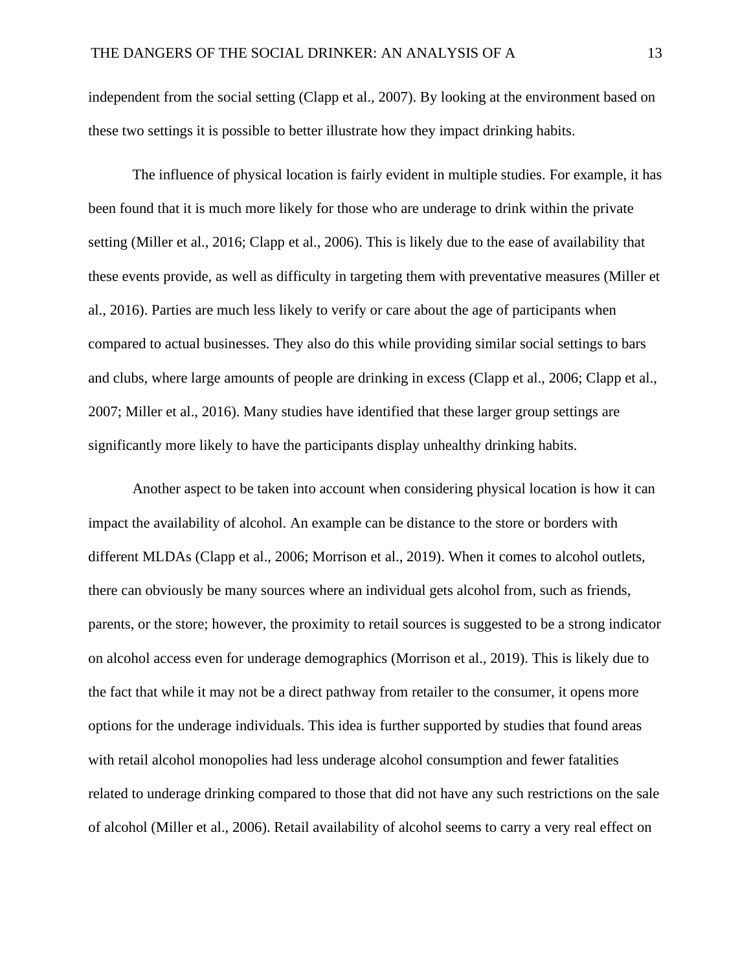independent from the social setting (Clapp et al., 2007). By looking at the environment based on these two settings it is possible to better illustrate how they impact drinking habits.

The influence of physical location is fairly evident in multiple studies. For example, it has been found that it is much more likely for those who are underage to drink within the private setting (Miller et al., 2016; Clapp et al., 2006). This is likely due to the ease of availability that these events provide, as well as difficulty in targeting them with preventative measures (Miller et al., 2016). Parties are much less likely to verify or care about the age of participants when compared to actual businesses. They also do this while providing similar social settings to bars and clubs, where large amounts of people are drinking in excess (Clapp et al., 2006; Clapp et al., 2007; Miller et al., 2016). Many studies have identified that these larger group settings are significantly more likely to have the participants display unhealthy drinking habits.

Another aspect to be taken into account when considering physical location is how it can impact the availability of alcohol. An example can be distance to the store or borders with different MLDAs (Clapp et al., 2006; Morrison et al., 2019). When it comes to alcohol outlets, there can obviously be many sources where an individual gets alcohol from, such as friends, parents, or the store; however, the proximity to retail sources is suggested to be a strong indicator on alcohol access even for underage demographics (Morrison et al., 2019). This is likely due to the fact that while it may not be a direct pathway from retailer to the consumer, it opens more options for the underage individuals. This idea is further supported by studies that found areas with retail alcohol monopolies had less underage alcohol consumption and fewer fatalities related to underage drinking compared to those that did not have any such restrictions on the sale of alcohol (Miller et al., 2006). Retail availability of alcohol seems to carry a very real effect on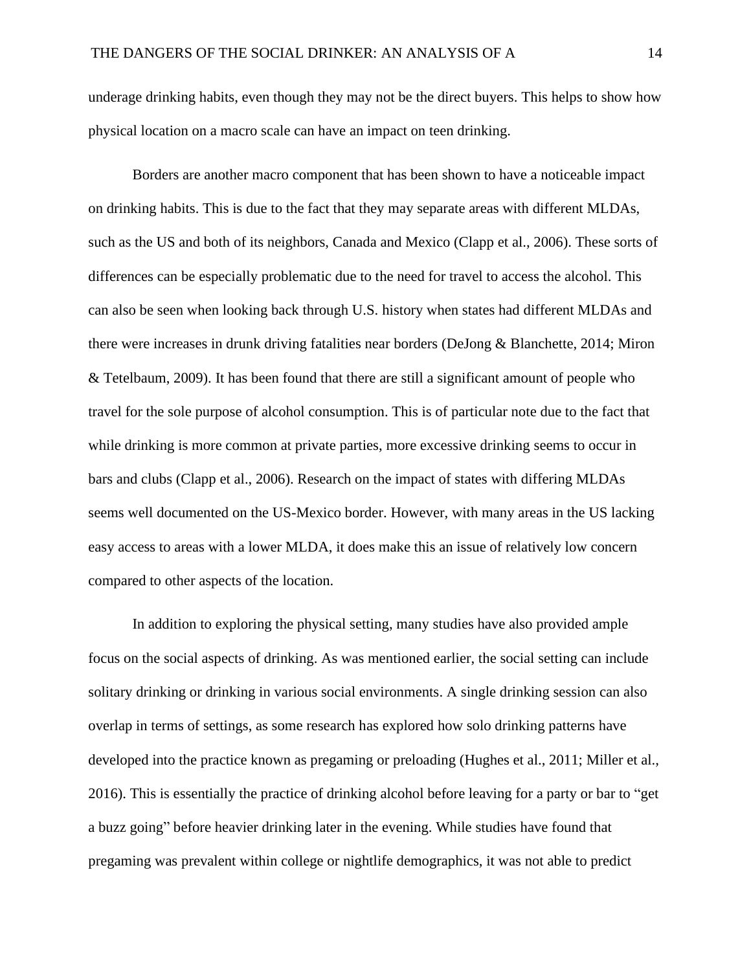underage drinking habits, even though they may not be the direct buyers. This helps to show how physical location on a macro scale can have an impact on teen drinking.

Borders are another macro component that has been shown to have a noticeable impact on drinking habits. This is due to the fact that they may separate areas with different MLDAs, such as the US and both of its neighbors, Canada and Mexico (Clapp et al., 2006). These sorts of differences can be especially problematic due to the need for travel to access the alcohol. This can also be seen when looking back through U.S. history when states had different MLDAs and there were increases in drunk driving fatalities near borders (DeJong & Blanchette, 2014; Miron & Tetelbaum, 2009). It has been found that there are still a significant amount of people who travel for the sole purpose of alcohol consumption. This is of particular note due to the fact that while drinking is more common at private parties, more excessive drinking seems to occur in bars and clubs (Clapp et al., 2006). Research on the impact of states with differing MLDAs seems well documented on the US-Mexico border. However, with many areas in the US lacking easy access to areas with a lower MLDA, it does make this an issue of relatively low concern compared to other aspects of the location.

In addition to exploring the physical setting, many studies have also provided ample focus on the social aspects of drinking. As was mentioned earlier, the social setting can include solitary drinking or drinking in various social environments. A single drinking session can also overlap in terms of settings, as some research has explored how solo drinking patterns have developed into the practice known as pregaming or preloading (Hughes et al., 2011; Miller et al., 2016). This is essentially the practice of drinking alcohol before leaving for a party or bar to "get a buzz going" before heavier drinking later in the evening. While studies have found that pregaming was prevalent within college or nightlife demographics, it was not able to predict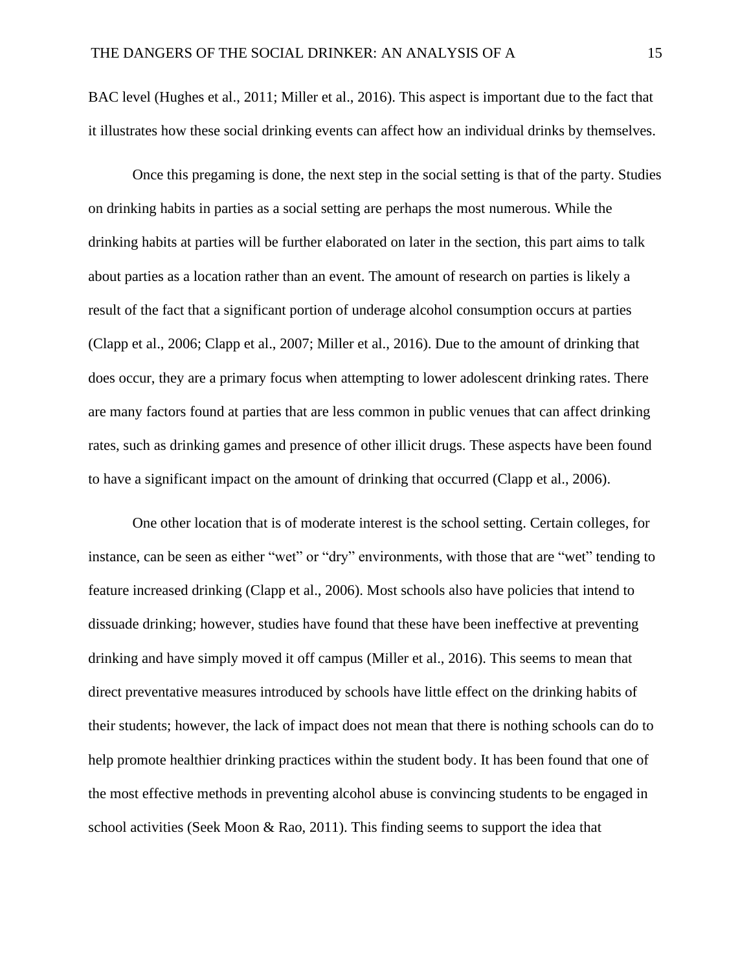BAC level (Hughes et al., 2011; Miller et al., 2016). This aspect is important due to the fact that it illustrates how these social drinking events can affect how an individual drinks by themselves.

Once this pregaming is done, the next step in the social setting is that of the party. Studies on drinking habits in parties as a social setting are perhaps the most numerous. While the drinking habits at parties will be further elaborated on later in the section, this part aims to talk about parties as a location rather than an event. The amount of research on parties is likely a result of the fact that a significant portion of underage alcohol consumption occurs at parties (Clapp et al., 2006; Clapp et al., 2007; Miller et al., 2016). Due to the amount of drinking that does occur, they are a primary focus when attempting to lower adolescent drinking rates. There are many factors found at parties that are less common in public venues that can affect drinking rates, such as drinking games and presence of other illicit drugs. These aspects have been found to have a significant impact on the amount of drinking that occurred (Clapp et al., 2006).

One other location that is of moderate interest is the school setting. Certain colleges, for instance, can be seen as either "wet" or "dry" environments, with those that are "wet" tending to feature increased drinking (Clapp et al., 2006). Most schools also have policies that intend to dissuade drinking; however, studies have found that these have been ineffective at preventing drinking and have simply moved it off campus (Miller et al., 2016). This seems to mean that direct preventative measures introduced by schools have little effect on the drinking habits of their students; however, the lack of impact does not mean that there is nothing schools can do to help promote healthier drinking practices within the student body. It has been found that one of the most effective methods in preventing alcohol abuse is convincing students to be engaged in school activities (Seek Moon & Rao, 2011). This finding seems to support the idea that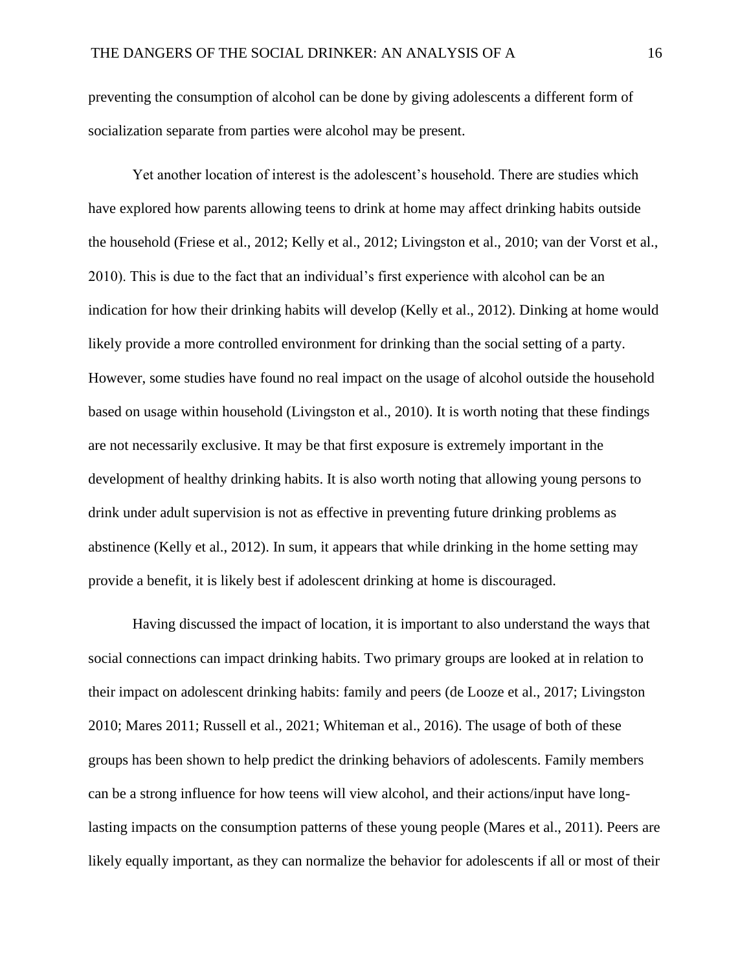preventing the consumption of alcohol can be done by giving adolescents a different form of socialization separate from parties were alcohol may be present.

Yet another location of interest is the adolescent's household. There are studies which have explored how parents allowing teens to drink at home may affect drinking habits outside the household (Friese et al., 2012; Kelly et al., 2012; Livingston et al., 2010; van der Vorst et al., 2010). This is due to the fact that an individual's first experience with alcohol can be an indication for how their drinking habits will develop (Kelly et al., 2012). Dinking at home would likely provide a more controlled environment for drinking than the social setting of a party. However, some studies have found no real impact on the usage of alcohol outside the household based on usage within household (Livingston et al., 2010). It is worth noting that these findings are not necessarily exclusive. It may be that first exposure is extremely important in the development of healthy drinking habits. It is also worth noting that allowing young persons to drink under adult supervision is not as effective in preventing future drinking problems as abstinence (Kelly et al., 2012). In sum, it appears that while drinking in the home setting may provide a benefit, it is likely best if adolescent drinking at home is discouraged.

Having discussed the impact of location, it is important to also understand the ways that social connections can impact drinking habits. Two primary groups are looked at in relation to their impact on adolescent drinking habits: family and peers (de Looze et al., 2017; Livingston 2010; Mares 2011; Russell et al., 2021; Whiteman et al., 2016). The usage of both of these groups has been shown to help predict the drinking behaviors of adolescents. Family members can be a strong influence for how teens will view alcohol, and their actions/input have longlasting impacts on the consumption patterns of these young people (Mares et al., 2011). Peers are likely equally important, as they can normalize the behavior for adolescents if all or most of their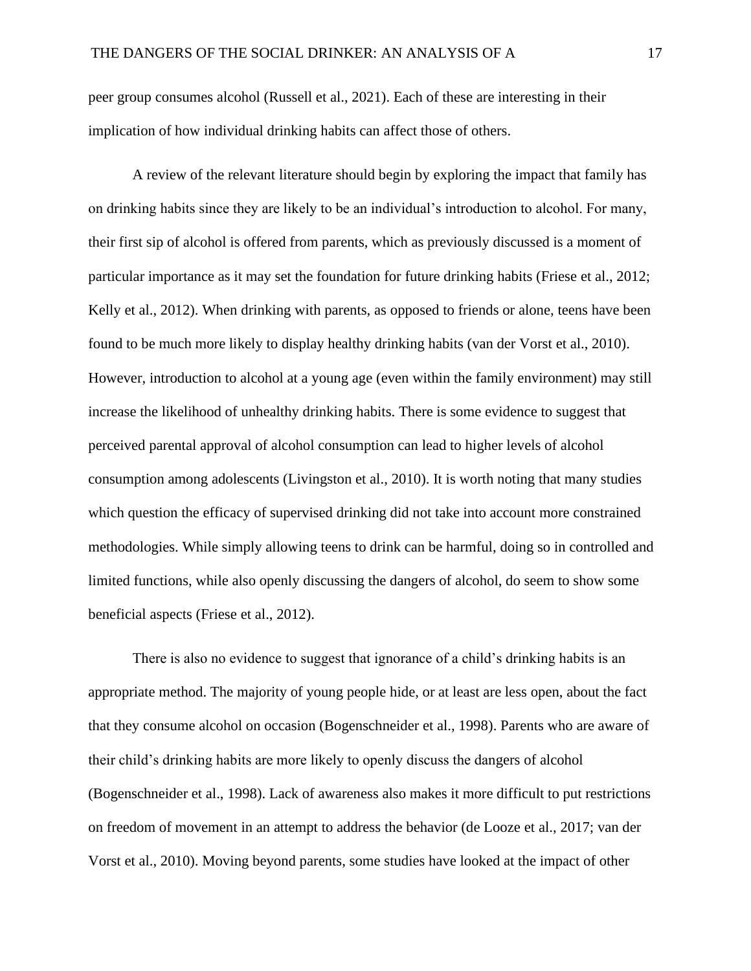peer group consumes alcohol (Russell et al., 2021). Each of these are interesting in their implication of how individual drinking habits can affect those of others.

A review of the relevant literature should begin by exploring the impact that family has on drinking habits since they are likely to be an individual's introduction to alcohol. For many, their first sip of alcohol is offered from parents, which as previously discussed is a moment of particular importance as it may set the foundation for future drinking habits (Friese et al., 2012; Kelly et al., 2012). When drinking with parents, as opposed to friends or alone, teens have been found to be much more likely to display healthy drinking habits (van der Vorst et al., 2010). However, introduction to alcohol at a young age (even within the family environment) may still increase the likelihood of unhealthy drinking habits. There is some evidence to suggest that perceived parental approval of alcohol consumption can lead to higher levels of alcohol consumption among adolescents (Livingston et al., 2010). It is worth noting that many studies which question the efficacy of supervised drinking did not take into account more constrained methodologies. While simply allowing teens to drink can be harmful, doing so in controlled and limited functions, while also openly discussing the dangers of alcohol, do seem to show some beneficial aspects (Friese et al., 2012).

There is also no evidence to suggest that ignorance of a child's drinking habits is an appropriate method. The majority of young people hide, or at least are less open, about the fact that they consume alcohol on occasion (Bogenschneider et al., 1998). Parents who are aware of their child's drinking habits are more likely to openly discuss the dangers of alcohol (Bogenschneider et al., 1998). Lack of awareness also makes it more difficult to put restrictions on freedom of movement in an attempt to address the behavior (de Looze et al., 2017; van der Vorst et al., 2010). Moving beyond parents, some studies have looked at the impact of other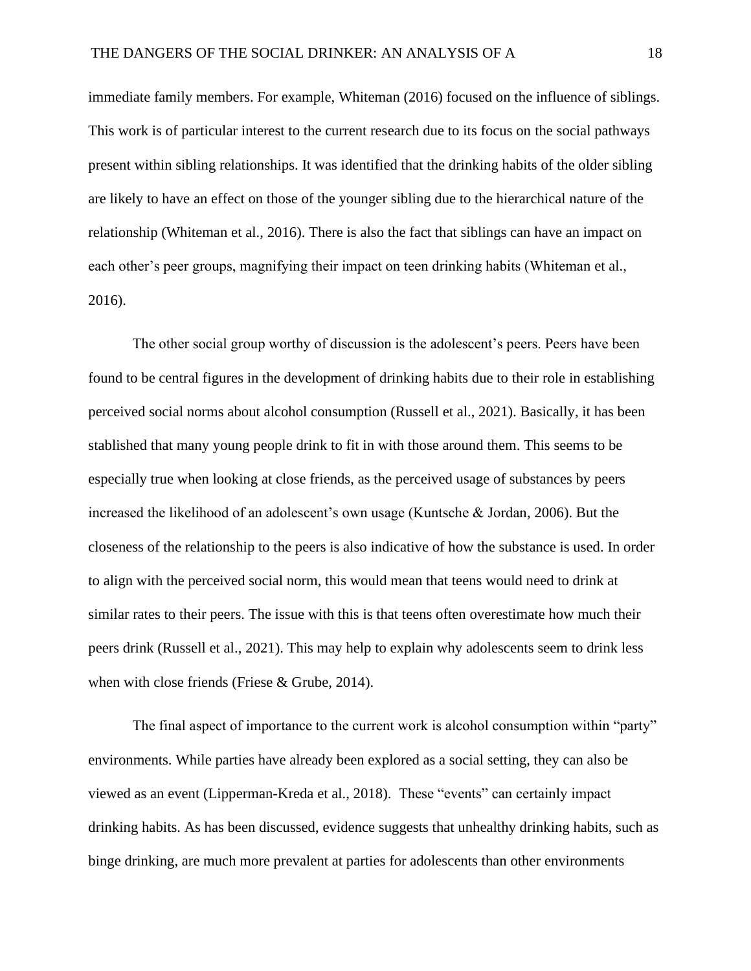immediate family members. For example, Whiteman (2016) focused on the influence of siblings. This work is of particular interest to the current research due to its focus on the social pathways present within sibling relationships. It was identified that the drinking habits of the older sibling are likely to have an effect on those of the younger sibling due to the hierarchical nature of the relationship (Whiteman et al., 2016). There is also the fact that siblings can have an impact on each other's peer groups, magnifying their impact on teen drinking habits (Whiteman et al., 2016).

The other social group worthy of discussion is the adolescent's peers. Peers have been found to be central figures in the development of drinking habits due to their role in establishing perceived social norms about alcohol consumption (Russell et al., 2021). Basically, it has been stablished that many young people drink to fit in with those around them. This seems to be especially true when looking at close friends, as the perceived usage of substances by peers increased the likelihood of an adolescent's own usage (Kuntsche & Jordan, 2006). But the closeness of the relationship to the peers is also indicative of how the substance is used. In order to align with the perceived social norm, this would mean that teens would need to drink at similar rates to their peers. The issue with this is that teens often overestimate how much their peers drink (Russell et al., 2021). This may help to explain why adolescents seem to drink less when with close friends (Friese & Grube, 2014).

The final aspect of importance to the current work is alcohol consumption within "party" environments. While parties have already been explored as a social setting, they can also be viewed as an event (Lipperman-Kreda et al., 2018). These "events" can certainly impact drinking habits. As has been discussed, evidence suggests that unhealthy drinking habits, such as binge drinking, are much more prevalent at parties for adolescents than other environments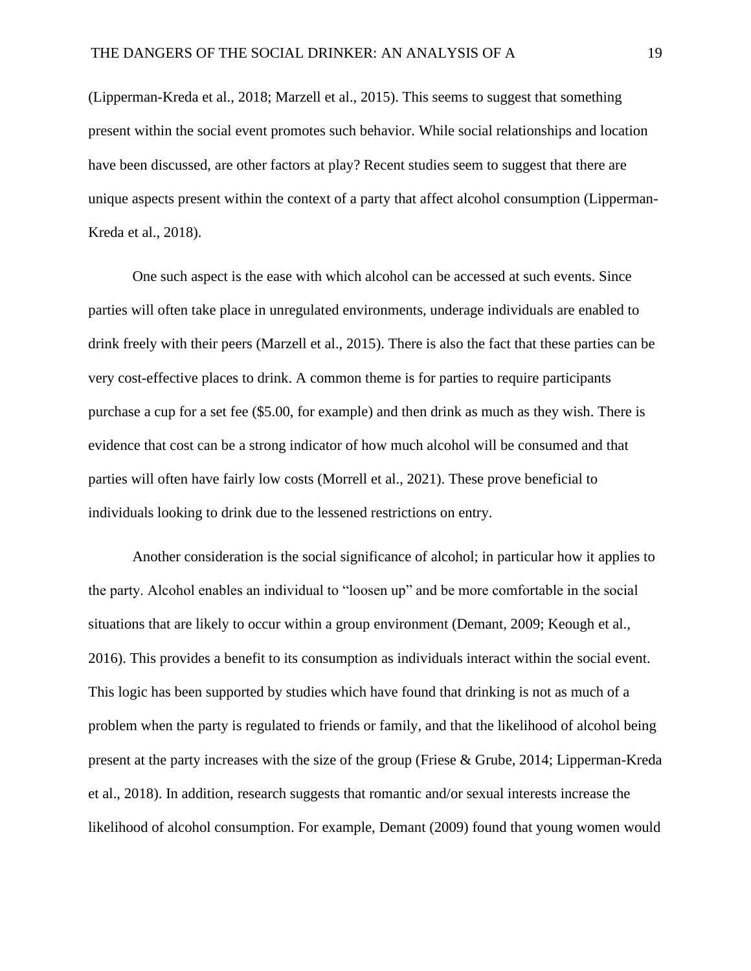(Lipperman-Kreda et al., 2018; Marzell et al., 2015). This seems to suggest that something present within the social event promotes such behavior. While social relationships and location have been discussed, are other factors at play? Recent studies seem to suggest that there are unique aspects present within the context of a party that affect alcohol consumption (Lipperman-Kreda et al., 2018).

One such aspect is the ease with which alcohol can be accessed at such events. Since parties will often take place in unregulated environments, underage individuals are enabled to drink freely with their peers (Marzell et al., 2015). There is also the fact that these parties can be very cost-effective places to drink. A common theme is for parties to require participants purchase a cup for a set fee (\$5.00, for example) and then drink as much as they wish. There is evidence that cost can be a strong indicator of how much alcohol will be consumed and that parties will often have fairly low costs (Morrell et al., 2021). These prove beneficial to individuals looking to drink due to the lessened restrictions on entry.

Another consideration is the social significance of alcohol; in particular how it applies to the party. Alcohol enables an individual to "loosen up" and be more comfortable in the social situations that are likely to occur within a group environment (Demant, 2009; Keough et al., 2016). This provides a benefit to its consumption as individuals interact within the social event. This logic has been supported by studies which have found that drinking is not as much of a problem when the party is regulated to friends or family, and that the likelihood of alcohol being present at the party increases with the size of the group (Friese & Grube, 2014; Lipperman-Kreda et al., 2018). In addition, research suggests that romantic and/or sexual interests increase the likelihood of alcohol consumption. For example, Demant (2009) found that young women would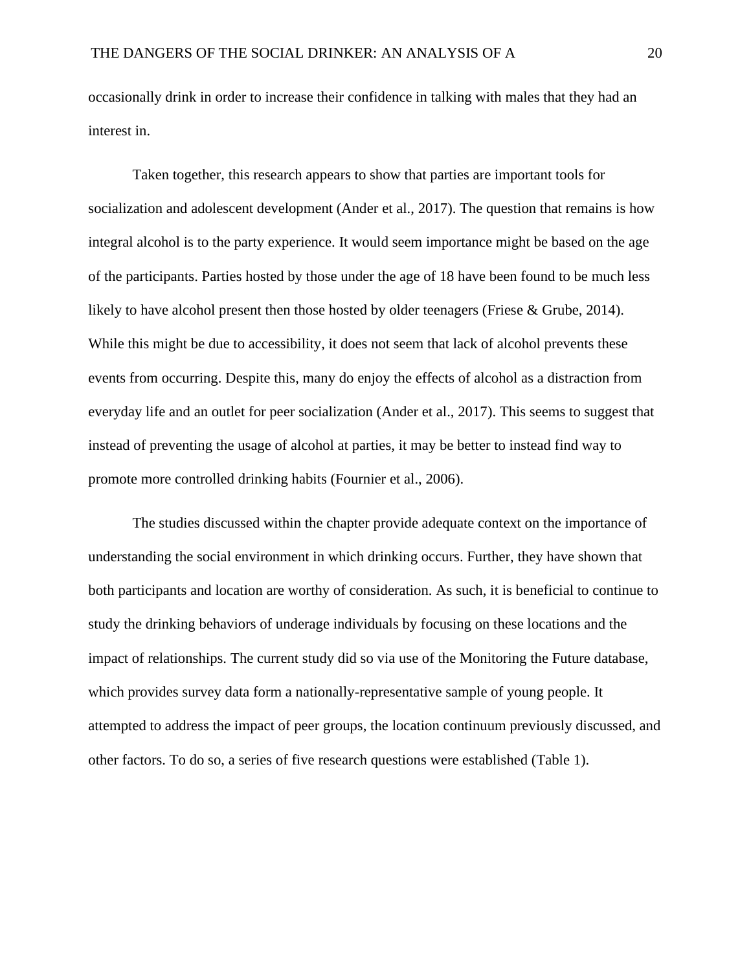occasionally drink in order to increase their confidence in talking with males that they had an interest in.

Taken together, this research appears to show that parties are important tools for socialization and adolescent development (Ander et al., 2017). The question that remains is how integral alcohol is to the party experience. It would seem importance might be based on the age of the participants. Parties hosted by those under the age of 18 have been found to be much less likely to have alcohol present then those hosted by older teenagers (Friese & Grube, 2014). While this might be due to accessibility, it does not seem that lack of alcohol prevents these events from occurring. Despite this, many do enjoy the effects of alcohol as a distraction from everyday life and an outlet for peer socialization (Ander et al., 2017). This seems to suggest that instead of preventing the usage of alcohol at parties, it may be better to instead find way to promote more controlled drinking habits (Fournier et al., 2006).

The studies discussed within the chapter provide adequate context on the importance of understanding the social environment in which drinking occurs. Further, they have shown that both participants and location are worthy of consideration. As such, it is beneficial to continue to study the drinking behaviors of underage individuals by focusing on these locations and the impact of relationships. The current study did so via use of the Monitoring the Future database, which provides survey data form a nationally-representative sample of young people. It attempted to address the impact of peer groups, the location continuum previously discussed, and other factors. To do so, a series of five research questions were established (Table 1).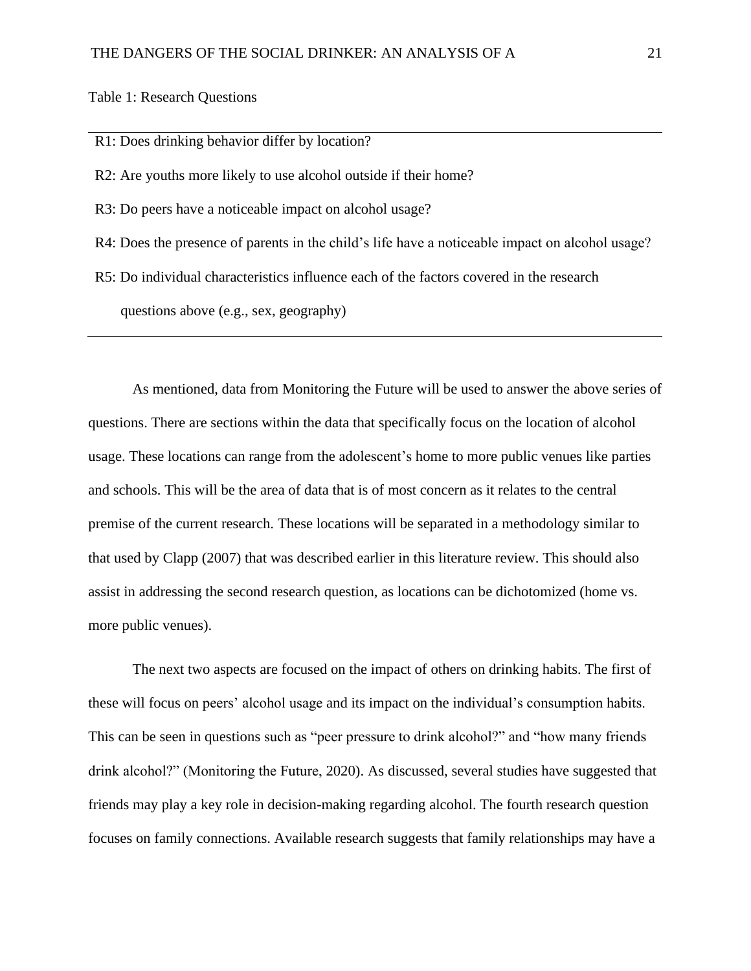Table 1: Research Questions

R1: Does drinking behavior differ by location?

R2: Are youths more likely to use alcohol outside if their home?

R3: Do peers have a noticeable impact on alcohol usage?

R4: Does the presence of parents in the child's life have a noticeable impact on alcohol usage?

R5: Do individual characteristics influence each of the factors covered in the research

questions above (e.g., sex, geography)

As mentioned, data from Monitoring the Future will be used to answer the above series of questions. There are sections within the data that specifically focus on the location of alcohol usage. These locations can range from the adolescent's home to more public venues like parties and schools. This will be the area of data that is of most concern as it relates to the central premise of the current research. These locations will be separated in a methodology similar to that used by Clapp (2007) that was described earlier in this literature review. This should also assist in addressing the second research question, as locations can be dichotomized (home vs. more public venues).

The next two aspects are focused on the impact of others on drinking habits. The first of these will focus on peers' alcohol usage and its impact on the individual's consumption habits. This can be seen in questions such as "peer pressure to drink alcohol?" and "how many friends drink alcohol?" (Monitoring the Future, 2020). As discussed, several studies have suggested that friends may play a key role in decision-making regarding alcohol. The fourth research question focuses on family connections. Available research suggests that family relationships may have a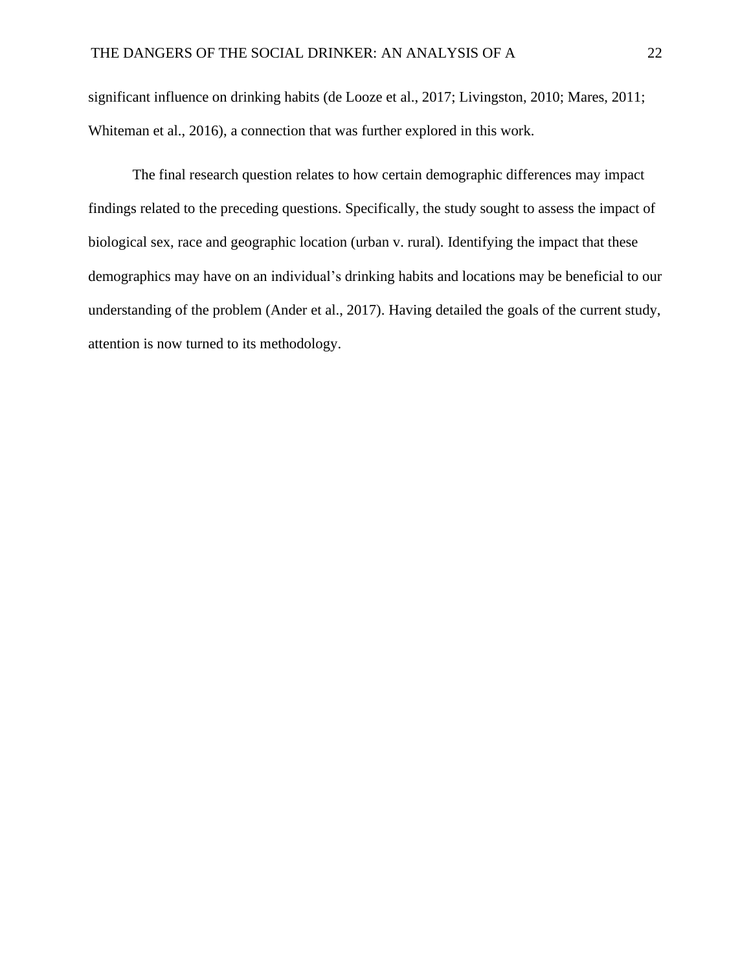significant influence on drinking habits (de Looze et al., 2017; Livingston, 2010; Mares, 2011; Whiteman et al., 2016), a connection that was further explored in this work.

The final research question relates to how certain demographic differences may impact findings related to the preceding questions. Specifically, the study sought to assess the impact of biological sex, race and geographic location (urban v. rural). Identifying the impact that these demographics may have on an individual's drinking habits and locations may be beneficial to our understanding of the problem (Ander et al., 2017). Having detailed the goals of the current study, attention is now turned to its methodology.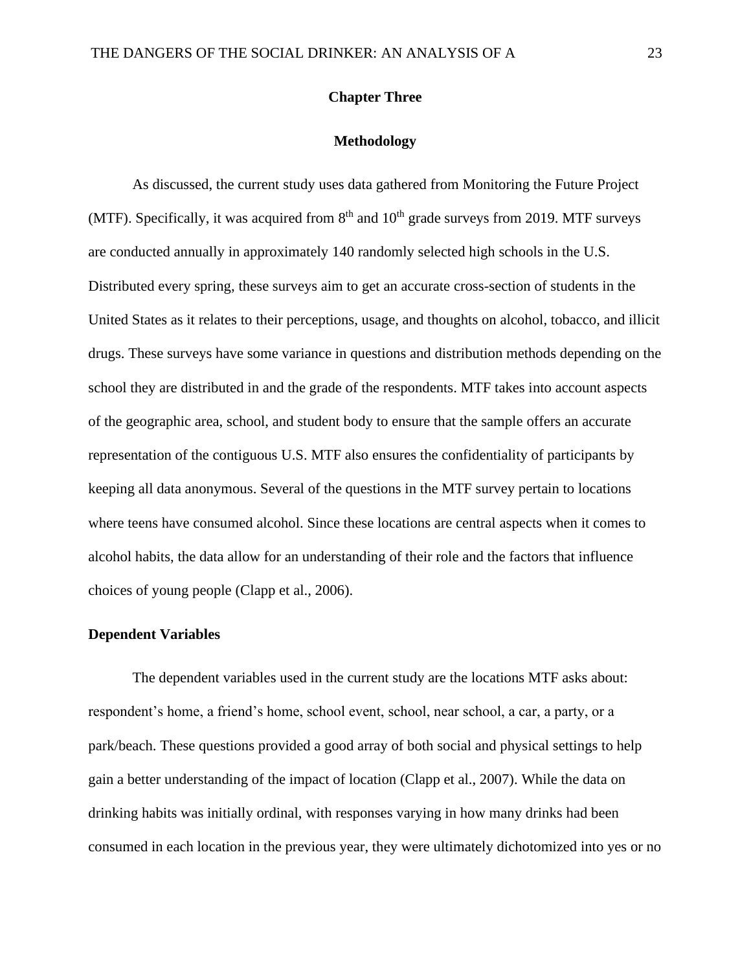# **Chapter Three**

# **Methodology**

As discussed, the current study uses data gathered from Monitoring the Future Project (MTF). Specifically, it was acquired from  $8<sup>th</sup>$  and  $10<sup>th</sup>$  grade surveys from 2019. MTF surveys are conducted annually in approximately 140 randomly selected high schools in the U.S. Distributed every spring, these surveys aim to get an accurate cross-section of students in the United States as it relates to their perceptions, usage, and thoughts on alcohol, tobacco, and illicit drugs. These surveys have some variance in questions and distribution methods depending on the school they are distributed in and the grade of the respondents. MTF takes into account aspects of the geographic area, school, and student body to ensure that the sample offers an accurate representation of the contiguous U.S. MTF also ensures the confidentiality of participants by keeping all data anonymous. Several of the questions in the MTF survey pertain to locations where teens have consumed alcohol. Since these locations are central aspects when it comes to alcohol habits, the data allow for an understanding of their role and the factors that influence choices of young people (Clapp et al., 2006).

# **Dependent Variables**

The dependent variables used in the current study are the locations MTF asks about: respondent's home, a friend's home, school event, school, near school, a car, a party, or a park/beach. These questions provided a good array of both social and physical settings to help gain a better understanding of the impact of location (Clapp et al., 2007). While the data on drinking habits was initially ordinal, with responses varying in how many drinks had been consumed in each location in the previous year, they were ultimately dichotomized into yes or no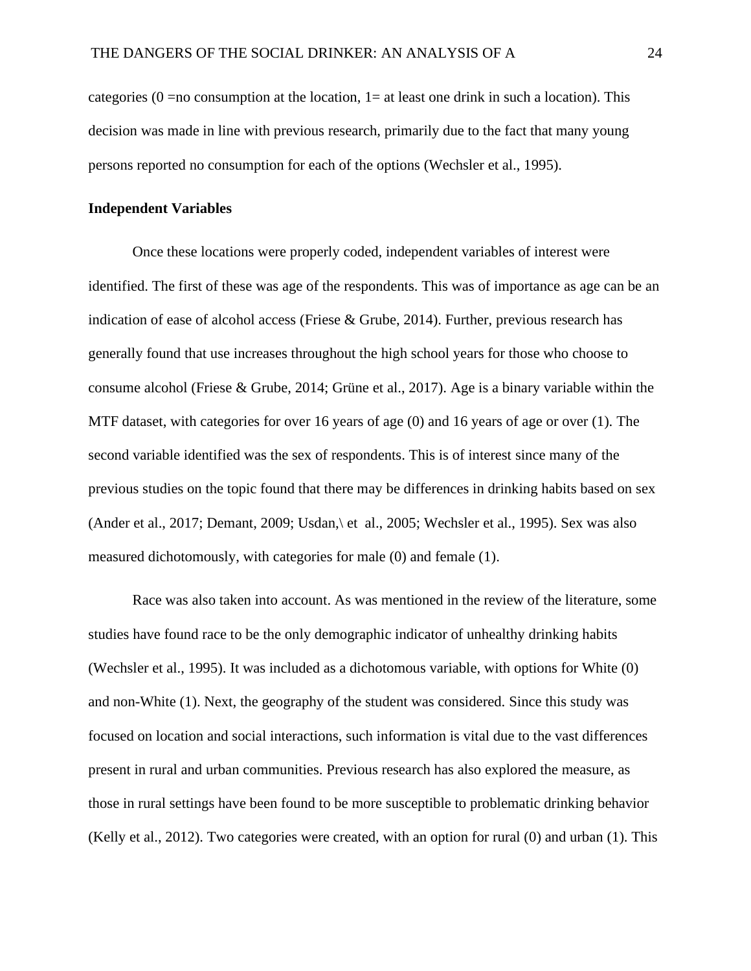categories ( $0 = no$  consumption at the location,  $1 = at$  least one drink in such a location). This decision was made in line with previous research, primarily due to the fact that many young persons reported no consumption for each of the options (Wechsler et al., 1995).

# **Independent Variables**

Once these locations were properly coded, independent variables of interest were identified. The first of these was age of the respondents. This was of importance as age can be an indication of ease of alcohol access (Friese & Grube, 2014). Further, previous research has generally found that use increases throughout the high school years for those who choose to consume alcohol (Friese & Grube, 2014; Grüne et al., 2017). Age is a binary variable within the MTF dataset, with categories for over 16 years of age (0) and 16 years of age or over (1). The second variable identified was the sex of respondents. This is of interest since many of the previous studies on the topic found that there may be differences in drinking habits based on sex (Ander et al., 2017; Demant, 2009; Usdan,\ et al., 2005; Wechsler et al., 1995). Sex was also measured dichotomously, with categories for male (0) and female (1).

Race was also taken into account. As was mentioned in the review of the literature, some studies have found race to be the only demographic indicator of unhealthy drinking habits (Wechsler et al., 1995). It was included as a dichotomous variable, with options for White (0) and non-White (1). Next, the geography of the student was considered. Since this study was focused on location and social interactions, such information is vital due to the vast differences present in rural and urban communities. Previous research has also explored the measure, as those in rural settings have been found to be more susceptible to problematic drinking behavior (Kelly et al., 2012). Two categories were created, with an option for rural (0) and urban (1). This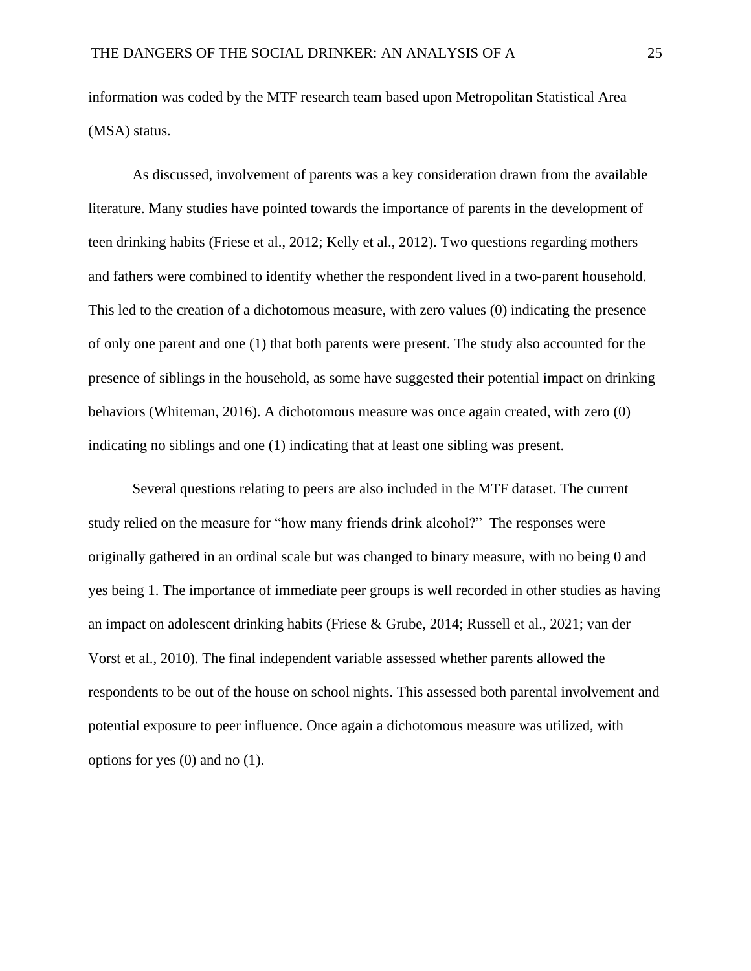information was coded by the MTF research team based upon Metropolitan Statistical Area (MSA) status.

As discussed, involvement of parents was a key consideration drawn from the available literature. Many studies have pointed towards the importance of parents in the development of teen drinking habits (Friese et al., 2012; Kelly et al., 2012). Two questions regarding mothers and fathers were combined to identify whether the respondent lived in a two-parent household. This led to the creation of a dichotomous measure, with zero values (0) indicating the presence of only one parent and one (1) that both parents were present. The study also accounted for the presence of siblings in the household, as some have suggested their potential impact on drinking behaviors (Whiteman, 2016). A dichotomous measure was once again created, with zero (0) indicating no siblings and one (1) indicating that at least one sibling was present.

Several questions relating to peers are also included in the MTF dataset. The current study relied on the measure for "how many friends drink alcohol?" The responses were originally gathered in an ordinal scale but was changed to binary measure, with no being 0 and yes being 1. The importance of immediate peer groups is well recorded in other studies as having an impact on adolescent drinking habits (Friese & Grube, 2014; Russell et al., 2021; van der Vorst et al., 2010). The final independent variable assessed whether parents allowed the respondents to be out of the house on school nights. This assessed both parental involvement and potential exposure to peer influence. Once again a dichotomous measure was utilized, with options for yes (0) and no (1).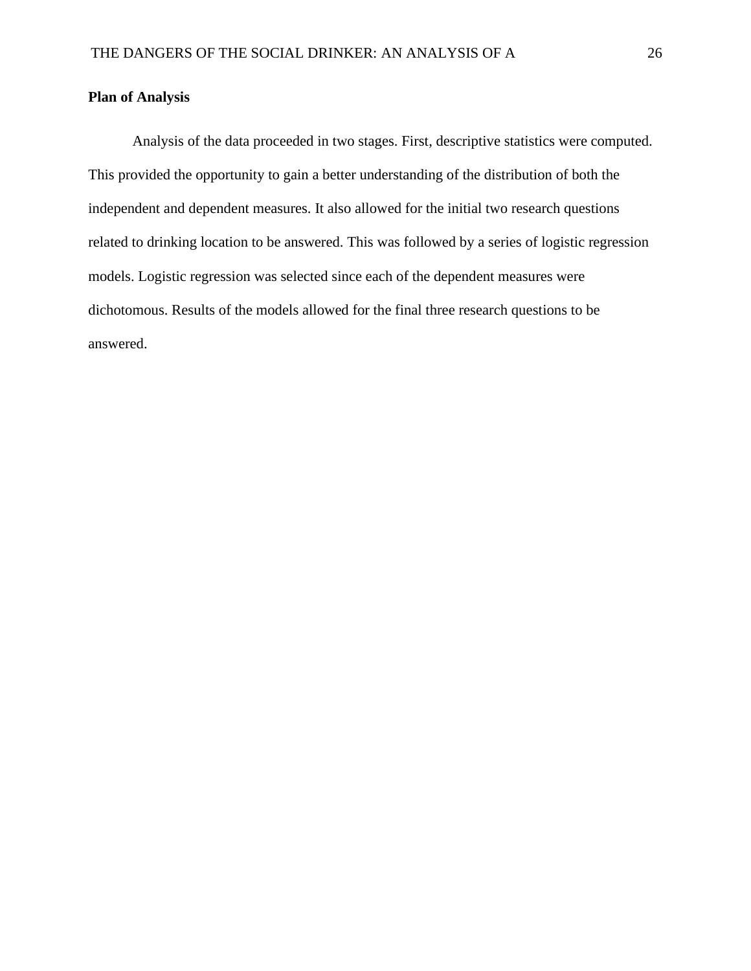# **Plan of Analysis**

Analysis of the data proceeded in two stages. First, descriptive statistics were computed. This provided the opportunity to gain a better understanding of the distribution of both the independent and dependent measures. It also allowed for the initial two research questions related to drinking location to be answered. This was followed by a series of logistic regression models. Logistic regression was selected since each of the dependent measures were dichotomous. Results of the models allowed for the final three research questions to be answered.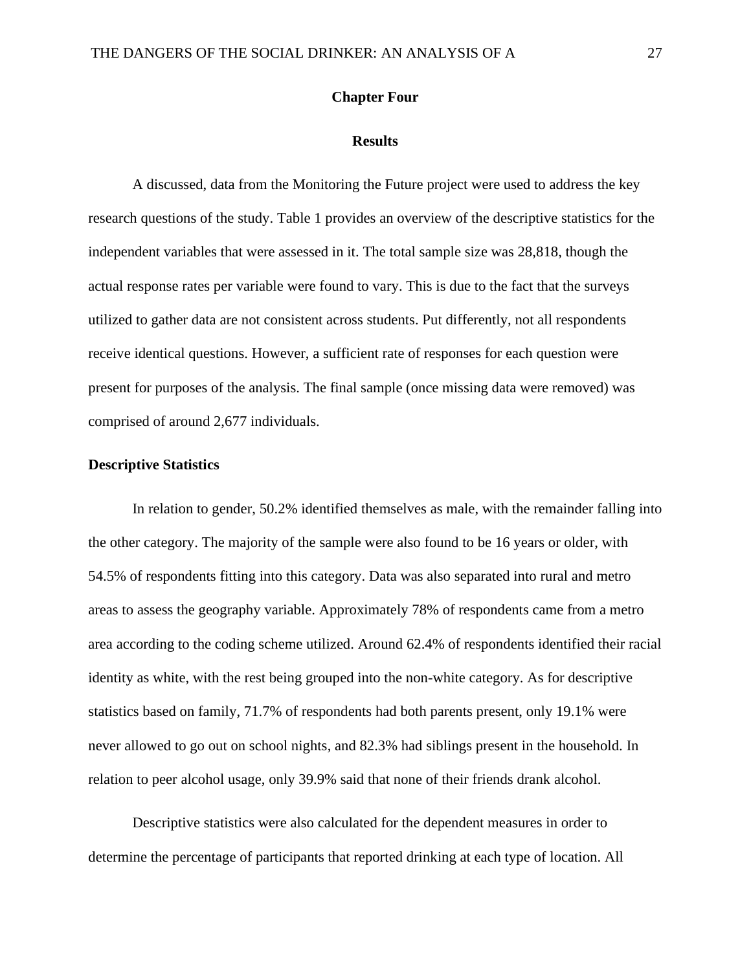# **Chapter Four**

#### **Results**

A discussed, data from the Monitoring the Future project were used to address the key research questions of the study. Table 1 provides an overview of the descriptive statistics for the independent variables that were assessed in it. The total sample size was 28,818, though the actual response rates per variable were found to vary. This is due to the fact that the surveys utilized to gather data are not consistent across students. Put differently, not all respondents receive identical questions. However, a sufficient rate of responses for each question were present for purposes of the analysis. The final sample (once missing data were removed) was comprised of around 2,677 individuals.

# **Descriptive Statistics**

In relation to gender, 50.2% identified themselves as male, with the remainder falling into the other category. The majority of the sample were also found to be 16 years or older, with 54.5% of respondents fitting into this category. Data was also separated into rural and metro areas to assess the geography variable. Approximately 78% of respondents came from a metro area according to the coding scheme utilized. Around 62.4% of respondents identified their racial identity as white, with the rest being grouped into the non-white category. As for descriptive statistics based on family, 71.7% of respondents had both parents present, only 19.1% were never allowed to go out on school nights, and 82.3% had siblings present in the household. In relation to peer alcohol usage, only 39.9% said that none of their friends drank alcohol.

Descriptive statistics were also calculated for the dependent measures in order to determine the percentage of participants that reported drinking at each type of location. All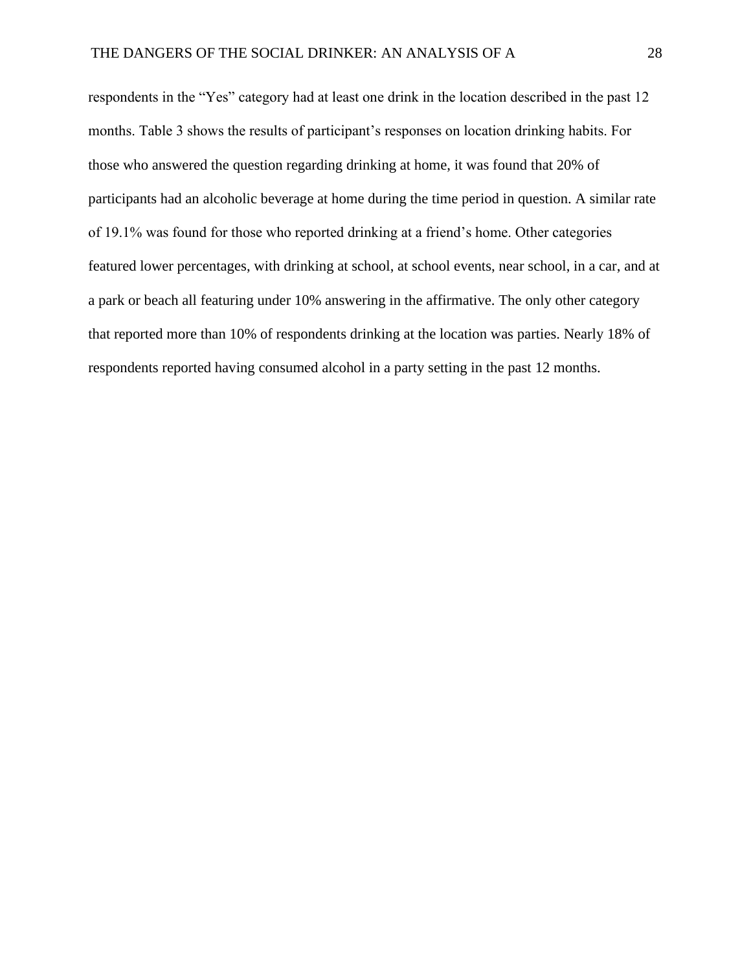respondents in the "Yes" category had at least one drink in the location described in the past 12 months. Table 3 shows the results of participant's responses on location drinking habits. For those who answered the question regarding drinking at home, it was found that 20% of participants had an alcoholic beverage at home during the time period in question. A similar rate of 19.1% was found for those who reported drinking at a friend's home. Other categories featured lower percentages, with drinking at school, at school events, near school, in a car, and at a park or beach all featuring under 10% answering in the affirmative. The only other category that reported more than 10% of respondents drinking at the location was parties. Nearly 18% of respondents reported having consumed alcohol in a party setting in the past 12 months.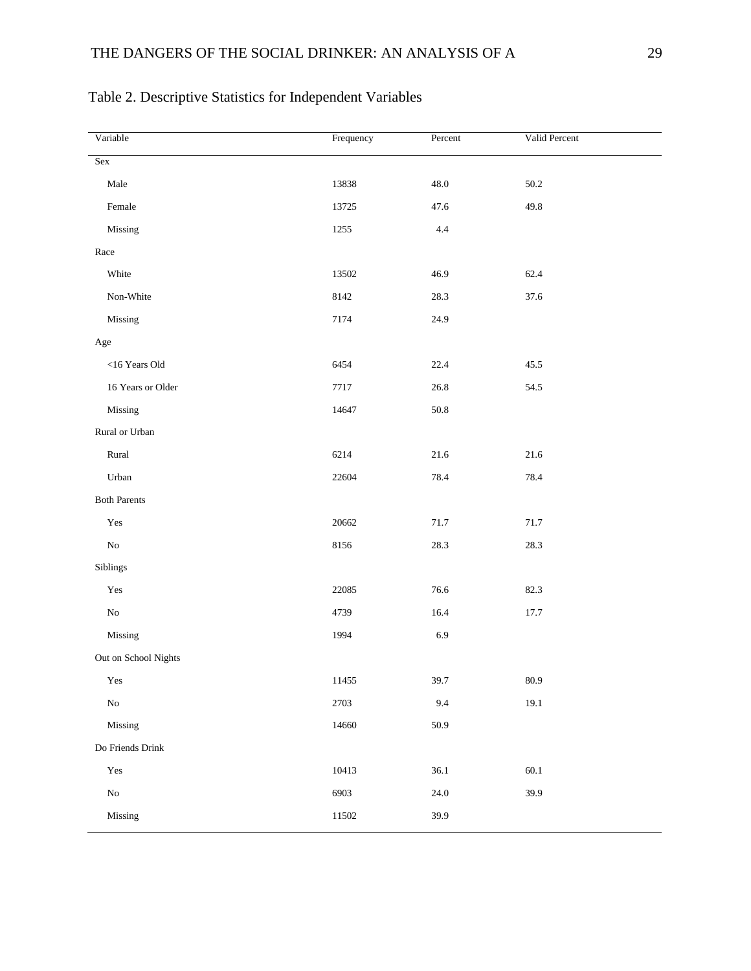| Variable             | Frequency | Percent  | Valid Percent |
|----------------------|-----------|----------|---------------|
| Sex                  |           |          |               |
| $\rm Male$           | 13838     | 48.0     | 50.2          |
| Female               | 13725     | 47.6     | 49.8          |
| Missing              | 1255      | $4.4\,$  |               |
| Race                 |           |          |               |
| White                | 13502     | 46.9     | 62.4          |
| Non-White            | 8142      | 28.3     | 37.6          |
| Missing              | 7174      | 24.9     |               |
| Age                  |           |          |               |
| <16 Years Old        | 6454      | 22.4     | 45.5          |
| 16 Years or Older    | 7717      | 26.8     | 54.5          |
| Missing              | 14647     | $50.8\,$ |               |
| Rural or Urban       |           |          |               |
| $\rm{Rural}$         | 6214      | $21.6\,$ | 21.6          |
| Urban                | 22604     | 78.4     | 78.4          |
| <b>Both Parents</b>  |           |          |               |
| $\operatorname{Yes}$ | 20662     | 71.7     | 71.7          |
| ${\rm No}$           | 8156      | 28.3     | 28.3          |
| Siblings             |           |          |               |
| $\operatorname{Yes}$ | 22085     | 76.6     | 82.3          |
| ${\rm No}$           | 4739      | 16.4     | 17.7          |
| Missing              | 1994      | 6.9      |               |
| Out on School Nights |           |          |               |
| Yes                  | 11455     | 39.7     | 80.9          |
| $_{\rm No}$          | 2703      | 9.4      | 19.1          |
| Missing              | 14660     | $50.9\,$ |               |
| Do Friends Drink     |           |          |               |
| Yes                  | 10413     | 36.1     | $60.1\,$      |
| ${\rm No}$           | 6903      | $24.0\,$ | 39.9          |
| Missing              | 11502     | 39.9     |               |

# Table 2. Descriptive Statistics for Independent Variables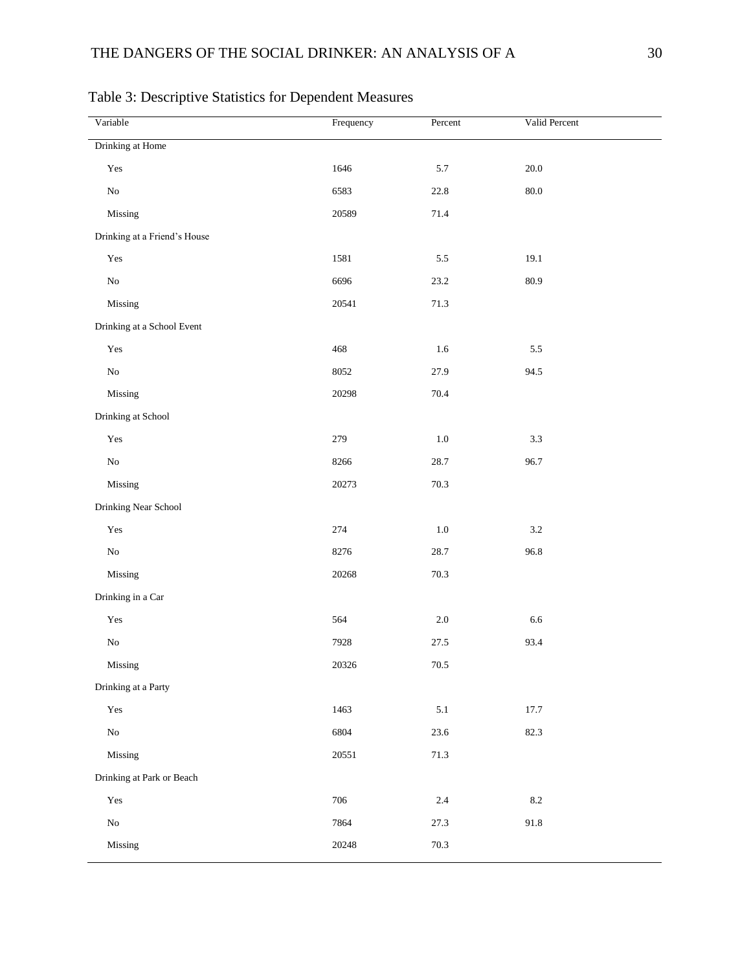| Variable                     | Frequency | Percent | Valid Percent |
|------------------------------|-----------|---------|---------------|
| Drinking at Home             |           |         |               |
| Yes                          | 1646      | $5.7\,$ | $20.0\,$      |
| ${\bf No}$                   | 6583      | 22.8    | $80.0\,$      |
| Missing                      | 20589     | 71.4    |               |
| Drinking at a Friend's House |           |         |               |
| $\operatorname{Yes}$         | 1581      | $5.5\,$ | 19.1          |
| ${\rm No}$                   | 6696      | 23.2    | 80.9          |
| Missing                      | 20541     | 71.3    |               |
| Drinking at a School Event   |           |         |               |
| $\operatorname{Yes}$         | 468       | 1.6     | $5.5\,$       |
| ${\rm No}$                   | 8052      | 27.9    | 94.5          |
| Missing                      | 20298     | 70.4    |               |
| Drinking at School           |           |         |               |
| $\operatorname{Yes}$         | 279       | $1.0\,$ | $3.3\,$       |
| ${\rm No}$                   | 8266      | 28.7    | 96.7          |
| Missing                      | 20273     | 70.3    |               |
| Drinking Near School         |           |         |               |
| $\operatorname{Yes}$         | 274       | $1.0\,$ | $3.2\,$       |
| ${\rm No}$                   | 8276      | 28.7    | 96.8          |
| Missing                      | 20268     | 70.3    |               |
| Drinking in a Car            |           |         |               |
| $\operatorname{Yes}$         | 564       | $2.0\,$ | 6.6           |
| ${\rm No}$                   | 7928      | 27.5    | 93.4          |
| Missing                      | 20326     | 70.5    |               |
| Drinking at a Party          |           |         |               |
| $\operatorname{Yes}$         | 1463      | $5.1\,$ | 17.7          |
| ${\rm No}$                   | 6804      | 23.6    | 82.3          |
| Missing                      | 20551     | 71.3    |               |
| Drinking at Park or Beach    |           |         |               |
| $\operatorname{Yes}$         | 706       | $2.4\,$ | $\ \ 8.2$     |
| ${\rm No}$                   | 7864      | 27.3    | 91.8          |
| Missing                      | 20248     | 70.3    |               |

Table 3: Descriptive Statistics for Dependent Measures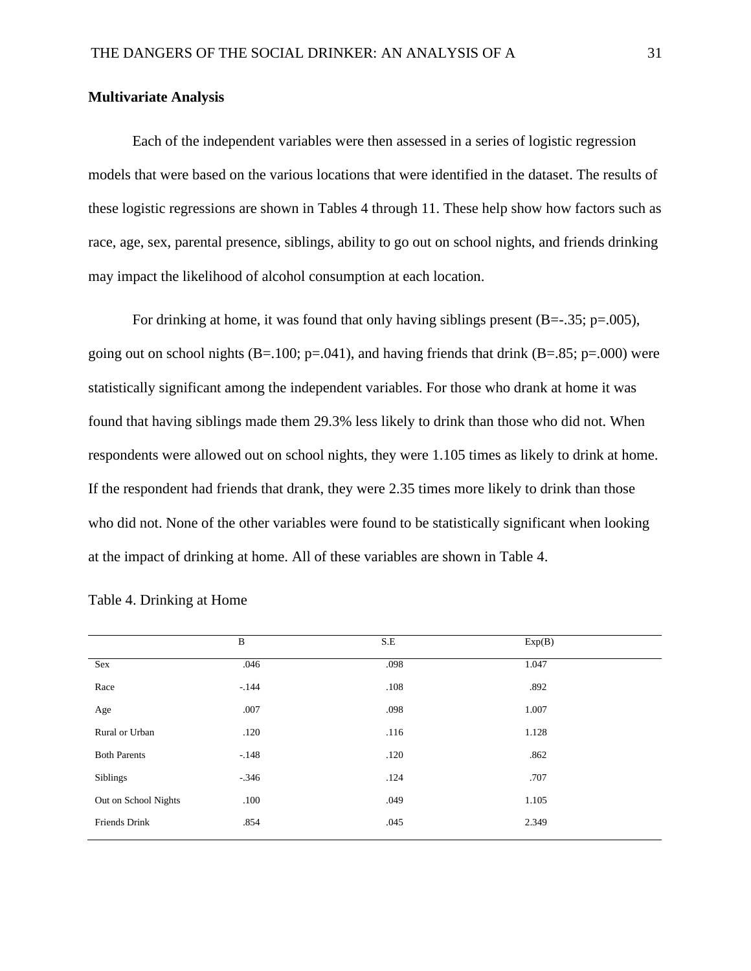# **Multivariate Analysis**

Each of the independent variables were then assessed in a series of logistic regression models that were based on the various locations that were identified in the dataset. The results of these logistic regressions are shown in Tables 4 through 11. These help show how factors such as race, age, sex, parental presence, siblings, ability to go out on school nights, and friends drinking may impact the likelihood of alcohol consumption at each location.

For drinking at home, it was found that only having siblings present  $(B=-.35; p=.005)$ , going out on school nights  $(B=.100; p=.041)$ , and having friends that drink  $(B=.85; p=.000)$  were statistically significant among the independent variables. For those who drank at home it was found that having siblings made them 29.3% less likely to drink than those who did not. When respondents were allowed out on school nights, they were 1.105 times as likely to drink at home. If the respondent had friends that drank, they were 2.35 times more likely to drink than those who did not. None of the other variables were found to be statistically significant when looking at the impact of drinking at home. All of these variables are shown in Table 4.

|                      | $\, {\bf B}$ | S.E  | Exp(B) |  |
|----------------------|--------------|------|--------|--|
| Sex                  | .046         | .098 | 1.047  |  |
| Race                 | $-.144$      | .108 | .892   |  |
| Age                  | .007         | .098 | 1.007  |  |
| Rural or Urban       | .120         | .116 | 1.128  |  |
| <b>Both Parents</b>  | $-148$       | .120 | .862   |  |
| Siblings             | $-.346$      | .124 | .707   |  |
| Out on School Nights | .100         | .049 | 1.105  |  |
| Friends Drink        | .854         | .045 | 2.349  |  |
|                      |              |      |        |  |

Table 4. Drinking at Home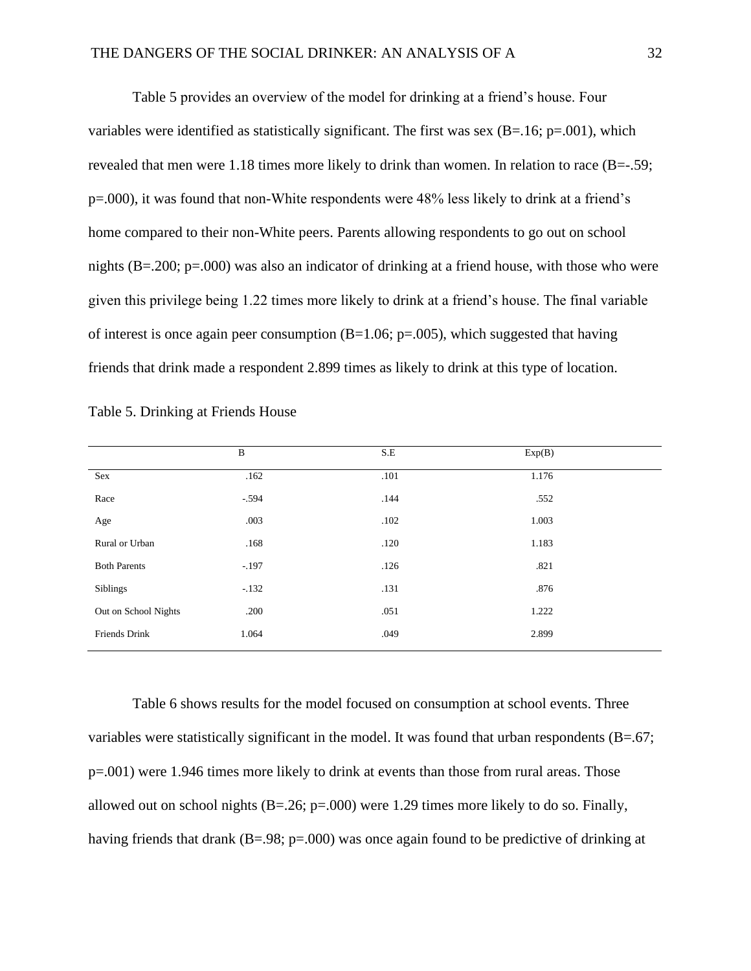Table 5 provides an overview of the model for drinking at a friend's house. Four variables were identified as statistically significant. The first was sex  $(B=.16; p=.001)$ , which revealed that men were 1.18 times more likely to drink than women. In relation to race (B=-.59; p=.000), it was found that non-White respondents were 48% less likely to drink at a friend's home compared to their non-White peers. Parents allowing respondents to go out on school nights (B=.200; p=.000) was also an indicator of drinking at a friend house, with those who were given this privilege being 1.22 times more likely to drink at a friend's house. The final variable of interest is once again peer consumption  $(B=1.06; p=.005)$ , which suggested that having friends that drink made a respondent 2.899 times as likely to drink at this type of location.

|                      | $\, {\bf B}$ | S.E  | Exp(B) |  |
|----------------------|--------------|------|--------|--|
| Sex                  | .162         | .101 | 1.176  |  |
| Race                 | $-.594$      | .144 | .552   |  |
| Age                  | .003         | .102 | 1.003  |  |
| Rural or Urban       | .168         | .120 | 1.183  |  |
| <b>Both Parents</b>  | $-.197$      | .126 | .821   |  |
| Siblings             | $-.132$      | .131 | .876   |  |
| Out on School Nights | .200         | .051 | 1.222  |  |
| Friends Drink        | 1.064        | .049 | 2.899  |  |

|  | Table 5. Drinking at Friends House |  |
|--|------------------------------------|--|

Table 6 shows results for the model focused on consumption at school events. Three variables were statistically significant in the model. It was found that urban respondents (B=.67; p=.001) were 1.946 times more likely to drink at events than those from rural areas. Those allowed out on school nights  $(B=.26; p=.000)$  were 1.29 times more likely to do so. Finally, having friends that drank (B=.98; p=.000) was once again found to be predictive of drinking at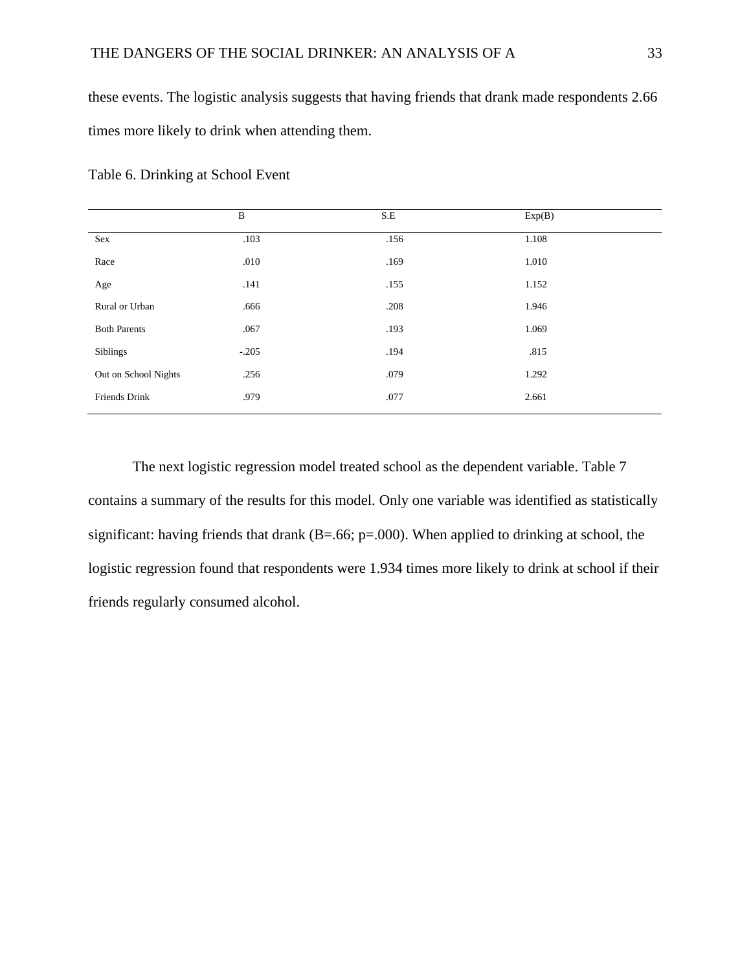these events. The logistic analysis suggests that having friends that drank made respondents 2.66 times more likely to drink when attending them.

|                      | $\, {\bf B}$ | S.E  | Exp(B) |  |
|----------------------|--------------|------|--------|--|
| Sex                  | .103         | .156 | 1.108  |  |
| Race                 | .010         | .169 | 1.010  |  |
| Age                  | .141         | .155 | 1.152  |  |
| Rural or Urban       | .666         | .208 | 1.946  |  |
| <b>Both Parents</b>  | .067         | .193 | 1.069  |  |
| Siblings             | $-.205$      | .194 | .815   |  |
| Out on School Nights | .256         | .079 | 1.292  |  |
| Friends Drink        | .979         | .077 | 2.661  |  |

Table 6. Drinking at School Event

The next logistic regression model treated school as the dependent variable. Table 7 contains a summary of the results for this model. Only one variable was identified as statistically significant: having friends that drank (B=.66; p=.000). When applied to drinking at school, the logistic regression found that respondents were 1.934 times more likely to drink at school if their friends regularly consumed alcohol.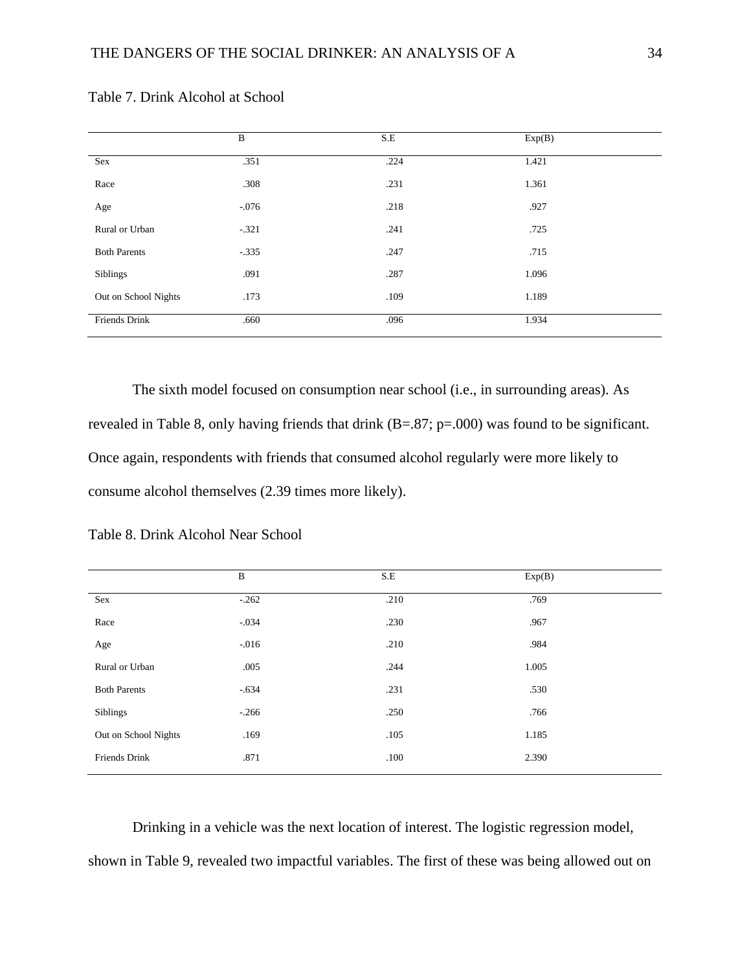|                      | B       | $S.E$ | Exp(B) |  |
|----------------------|---------|-------|--------|--|
| Sex                  | .351    | .224  | 1.421  |  |
| Race                 | .308    | .231  | 1.361  |  |
| Age                  | $-.076$ | .218  | .927   |  |
| Rural or Urban       | $-.321$ | .241  | .725   |  |
| <b>Both Parents</b>  | $-.335$ | .247  | .715   |  |
| Siblings             | .091    | .287  | 1.096  |  |
| Out on School Nights | .173    | .109  | 1.189  |  |
| Friends Drink        | .660    | .096  | 1.934  |  |

Table 7. Drink Alcohol at School

The sixth model focused on consumption near school (i.e., in surrounding areas). As revealed in Table 8, only having friends that drink (B=.87; p=.000) was found to be significant. Once again, respondents with friends that consumed alcohol regularly were more likely to consume alcohol themselves (2.39 times more likely).

|                      | B       | S.E  | Exp(B) |  |
|----------------------|---------|------|--------|--|
| Sex                  | $-.262$ | .210 | .769   |  |
| Race                 | $-.034$ | .230 | .967   |  |
| Age                  | $-.016$ | .210 | .984   |  |
| Rural or Urban       | .005    | .244 | 1.005  |  |
| <b>Both Parents</b>  | $-.634$ | .231 | .530   |  |
| <b>Siblings</b>      | $-.266$ | .250 | .766   |  |
| Out on School Nights | .169    | .105 | 1.185  |  |
| Friends Drink        | .871    | .100 | 2.390  |  |

Table 8. Drink Alcohol Near School

Drinking in a vehicle was the next location of interest. The logistic regression model, shown in Table 9, revealed two impactful variables. The first of these was being allowed out on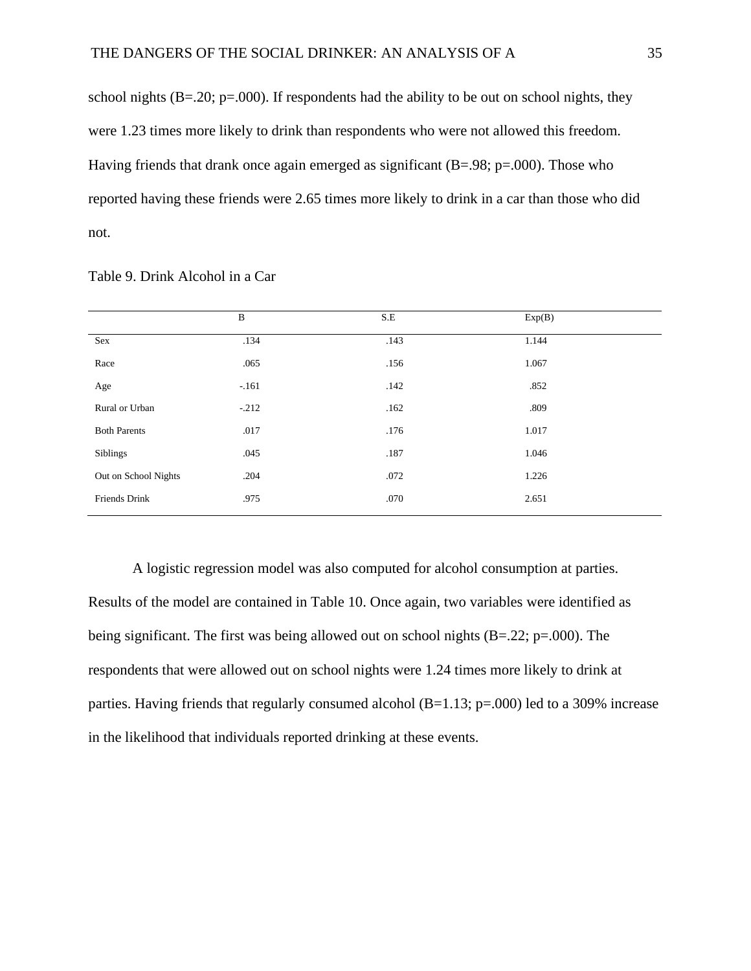school nights  $(B=0.20; p=.000)$ . If respondents had the ability to be out on school nights, they were 1.23 times more likely to drink than respondents who were not allowed this freedom. Having friends that drank once again emerged as significant  $(B=.98; p=.000)$ . Those who reported having these friends were 2.65 times more likely to drink in a car than those who did not.

|                      | B       | S.E  | Exp(B) |  |
|----------------------|---------|------|--------|--|
| Sex                  | .134    | .143 | 1.144  |  |
| Race                 | .065    | .156 | 1.067  |  |
| Age                  | $-.161$ | .142 | .852   |  |
| Rural or Urban       | $-.212$ | .162 | .809   |  |
| <b>Both Parents</b>  | .017    | .176 | 1.017  |  |
| Siblings             | .045    | .187 | 1.046  |  |
| Out on School Nights | .204    | .072 | 1.226  |  |
| Friends Drink        | .975    | .070 | 2.651  |  |

Table 9. Drink Alcohol in a Car

A logistic regression model was also computed for alcohol consumption at parties. Results of the model are contained in Table 10. Once again, two variables were identified as being significant. The first was being allowed out on school nights (B=.22; p=.000). The respondents that were allowed out on school nights were 1.24 times more likely to drink at parties. Having friends that regularly consumed alcohol (B=1.13; p=.000) led to a 309% increase in the likelihood that individuals reported drinking at these events.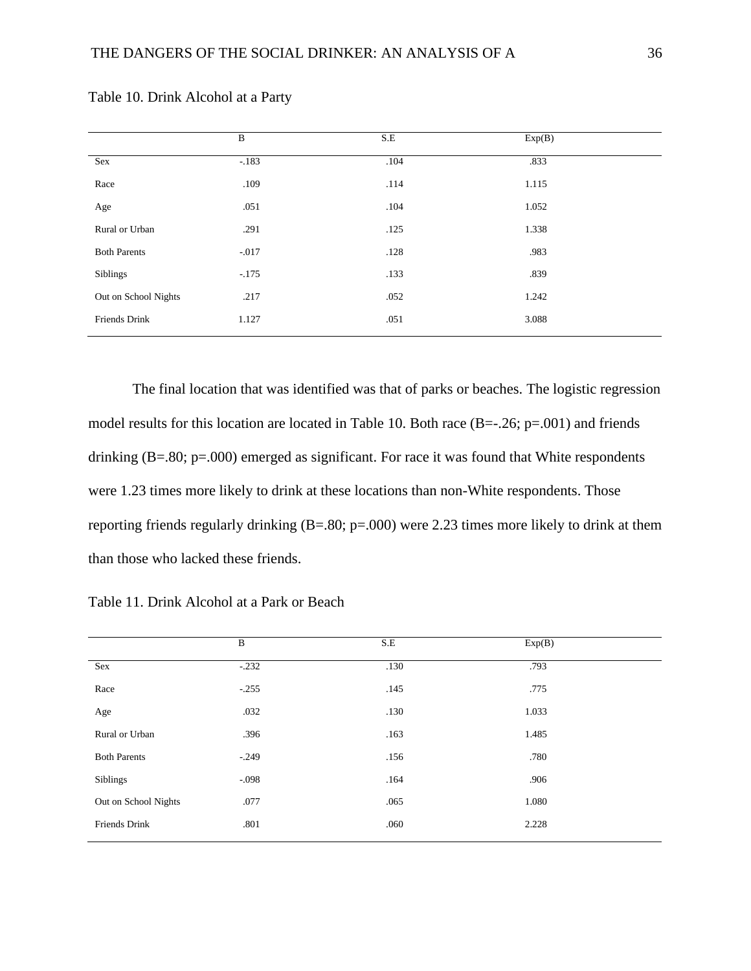|                      | $\, {\bf B}$ | S.E  | Exp(B) |  |
|----------------------|--------------|------|--------|--|
| Sex                  | $-183$       | .104 | .833   |  |
| Race                 | .109         | .114 | 1.115  |  |
| Age                  | .051         | .104 | 1.052  |  |
| Rural or Urban       | .291         | .125 | 1.338  |  |
| <b>Both Parents</b>  | $-.017$      | .128 | .983   |  |
| Siblings             | $-.175$      | .133 | .839   |  |
| Out on School Nights | .217         | .052 | 1.242  |  |
| Friends Drink        | 1.127        | .051 | 3.088  |  |
|                      |              |      |        |  |

Table 10. Drink Alcohol at a Party

The final location that was identified was that of parks or beaches. The logistic regression model results for this location are located in Table 10. Both race (B=-.26; p=.001) and friends drinking (B=.80; p=.000) emerged as significant. For race it was found that White respondents were 1.23 times more likely to drink at these locations than non-White respondents. Those reporting friends regularly drinking (B=.80; p=.000) were 2.23 times more likely to drink at them than those who lacked these friends.

|                      | B       | S.E  | Exp(B) |  |
|----------------------|---------|------|--------|--|
| Sex                  | $-.232$ | .130 | .793   |  |
| Race                 | $-.255$ | .145 | .775   |  |
| Age                  | .032    | .130 | 1.033  |  |
| Rural or Urban       | .396    | .163 | 1.485  |  |
| <b>Both Parents</b>  | $-.249$ | .156 | .780   |  |
| Siblings             | $-.098$ | .164 | .906   |  |
| Out on School Nights | .077    | .065 | 1.080  |  |
| <b>Friends Drink</b> | .801    | .060 | 2.228  |  |

Table 11. Drink Alcohol at a Park or Beach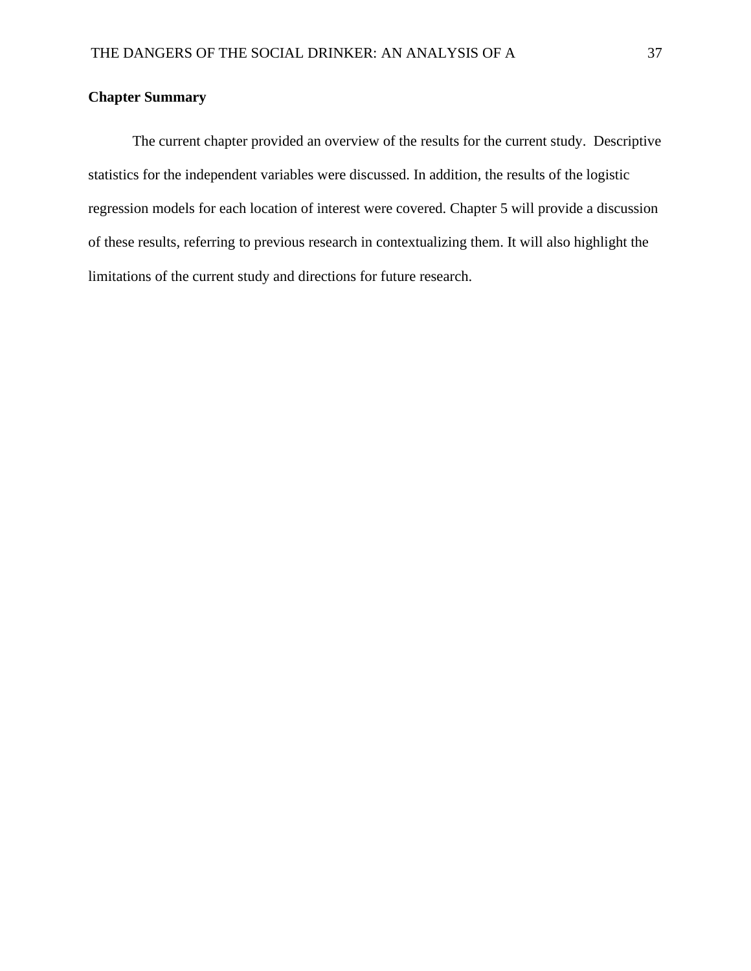# **Chapter Summary**

The current chapter provided an overview of the results for the current study. Descriptive statistics for the independent variables were discussed. In addition, the results of the logistic regression models for each location of interest were covered. Chapter 5 will provide a discussion of these results, referring to previous research in contextualizing them. It will also highlight the limitations of the current study and directions for future research.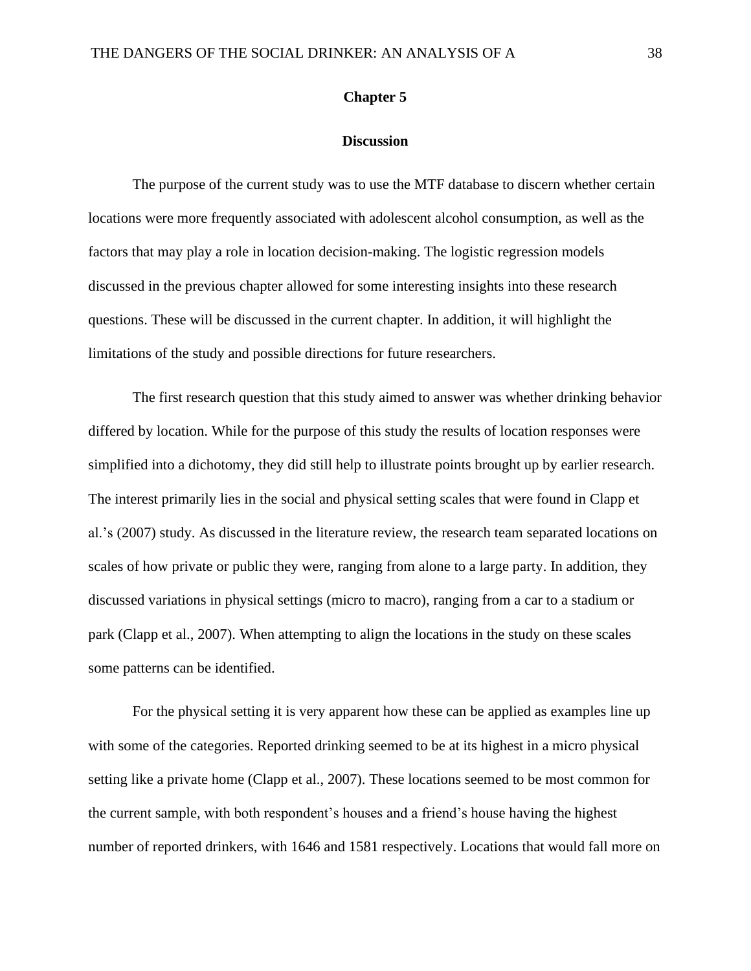# **Chapter 5**

#### **Discussion**

The purpose of the current study was to use the MTF database to discern whether certain locations were more frequently associated with adolescent alcohol consumption, as well as the factors that may play a role in location decision-making. The logistic regression models discussed in the previous chapter allowed for some interesting insights into these research questions. These will be discussed in the current chapter. In addition, it will highlight the limitations of the study and possible directions for future researchers.

The first research question that this study aimed to answer was whether drinking behavior differed by location. While for the purpose of this study the results of location responses were simplified into a dichotomy, they did still help to illustrate points brought up by earlier research. The interest primarily lies in the social and physical setting scales that were found in Clapp et al.'s (2007) study. As discussed in the literature review, the research team separated locations on scales of how private or public they were, ranging from alone to a large party. In addition, they discussed variations in physical settings (micro to macro), ranging from a car to a stadium or park (Clapp et al., 2007). When attempting to align the locations in the study on these scales some patterns can be identified.

For the physical setting it is very apparent how these can be applied as examples line up with some of the categories. Reported drinking seemed to be at its highest in a micro physical setting like a private home (Clapp et al., 2007). These locations seemed to be most common for the current sample, with both respondent's houses and a friend's house having the highest number of reported drinkers, with 1646 and 1581 respectively. Locations that would fall more on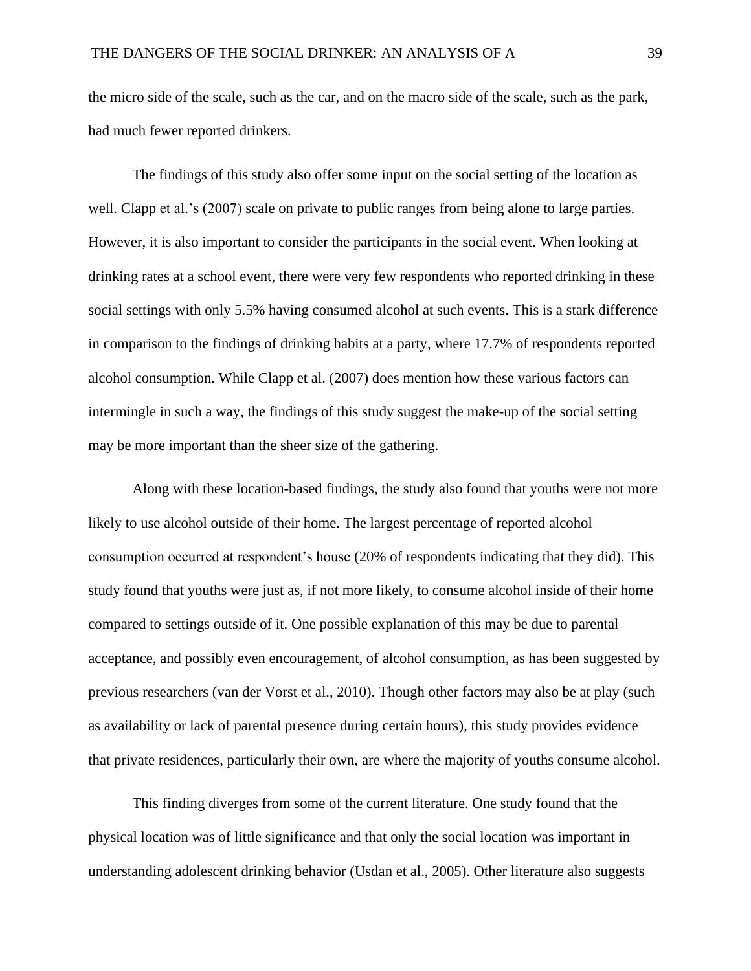the micro side of the scale, such as the car, and on the macro side of the scale, such as the park, had much fewer reported drinkers.

The findings of this study also offer some input on the social setting of the location as well. Clapp et al.'s (2007) scale on private to public ranges from being alone to large parties. However, it is also important to consider the participants in the social event. When looking at drinking rates at a school event, there were very few respondents who reported drinking in these social settings with only 5.5% having consumed alcohol at such events. This is a stark difference in comparison to the findings of drinking habits at a party, where 17.7% of respondents reported alcohol consumption. While Clapp et al. (2007) does mention how these various factors can intermingle in such a way, the findings of this study suggest the make-up of the social setting may be more important than the sheer size of the gathering.

Along with these location-based findings, the study also found that youths were not more likely to use alcohol outside of their home. The largest percentage of reported alcohol consumption occurred at respondent's house (20% of respondents indicating that they did). This study found that youths were just as, if not more likely, to consume alcohol inside of their home compared to settings outside of it. One possible explanation of this may be due to parental acceptance, and possibly even encouragement, of alcohol consumption, as has been suggested by previous researchers (van der Vorst et al., 2010). Though other factors may also be at play (such as availability or lack of parental presence during certain hours), this study provides evidence that private residences, particularly their own, are where the majority of youths consume alcohol.

This finding diverges from some of the current literature. One study found that the physical location was of little significance and that only the social location was important in understanding adolescent drinking behavior (Usdan et al., 2005). Other literature also suggests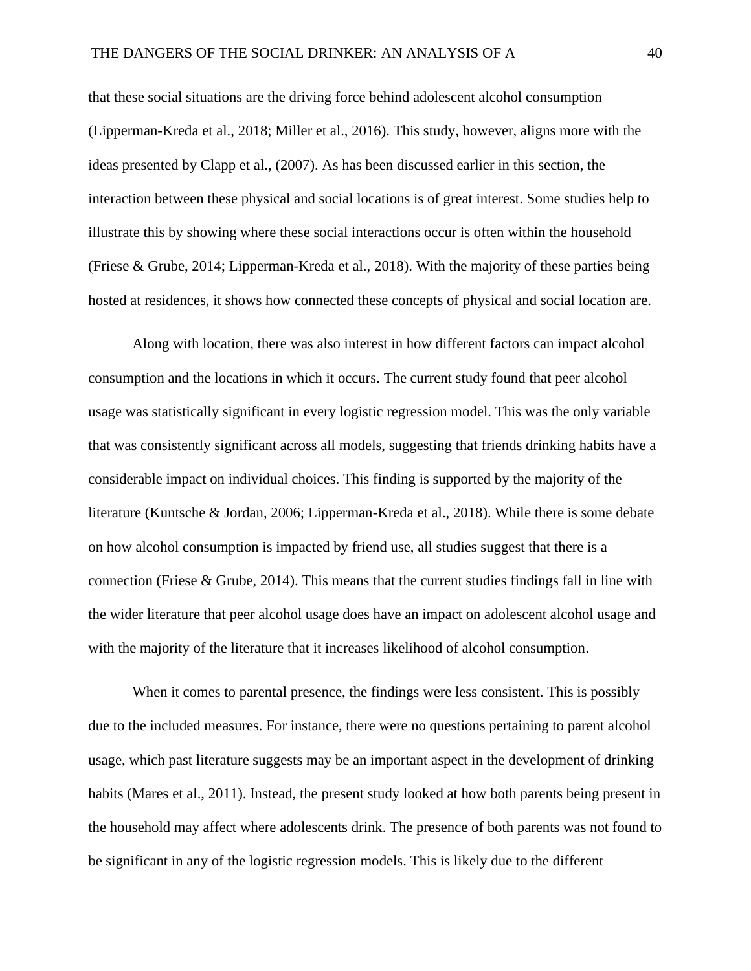that these social situations are the driving force behind adolescent alcohol consumption (Lipperman-Kreda et al., 2018; Miller et al., 2016). This study, however, aligns more with the ideas presented by Clapp et al., (2007). As has been discussed earlier in this section, the interaction between these physical and social locations is of great interest. Some studies help to illustrate this by showing where these social interactions occur is often within the household (Friese & Grube, 2014; Lipperman-Kreda et al., 2018). With the majority of these parties being hosted at residences, it shows how connected these concepts of physical and social location are.

Along with location, there was also interest in how different factors can impact alcohol consumption and the locations in which it occurs. The current study found that peer alcohol usage was statistically significant in every logistic regression model. This was the only variable that was consistently significant across all models, suggesting that friends drinking habits have a considerable impact on individual choices. This finding is supported by the majority of the literature (Kuntsche & Jordan, 2006; Lipperman-Kreda et al., 2018). While there is some debate on how alcohol consumption is impacted by friend use, all studies suggest that there is a connection (Friese & Grube, 2014). This means that the current studies findings fall in line with the wider literature that peer alcohol usage does have an impact on adolescent alcohol usage and with the majority of the literature that it increases likelihood of alcohol consumption.

When it comes to parental presence, the findings were less consistent. This is possibly due to the included measures. For instance, there were no questions pertaining to parent alcohol usage, which past literature suggests may be an important aspect in the development of drinking habits (Mares et al., 2011). Instead, the present study looked at how both parents being present in the household may affect where adolescents drink. The presence of both parents was not found to be significant in any of the logistic regression models. This is likely due to the different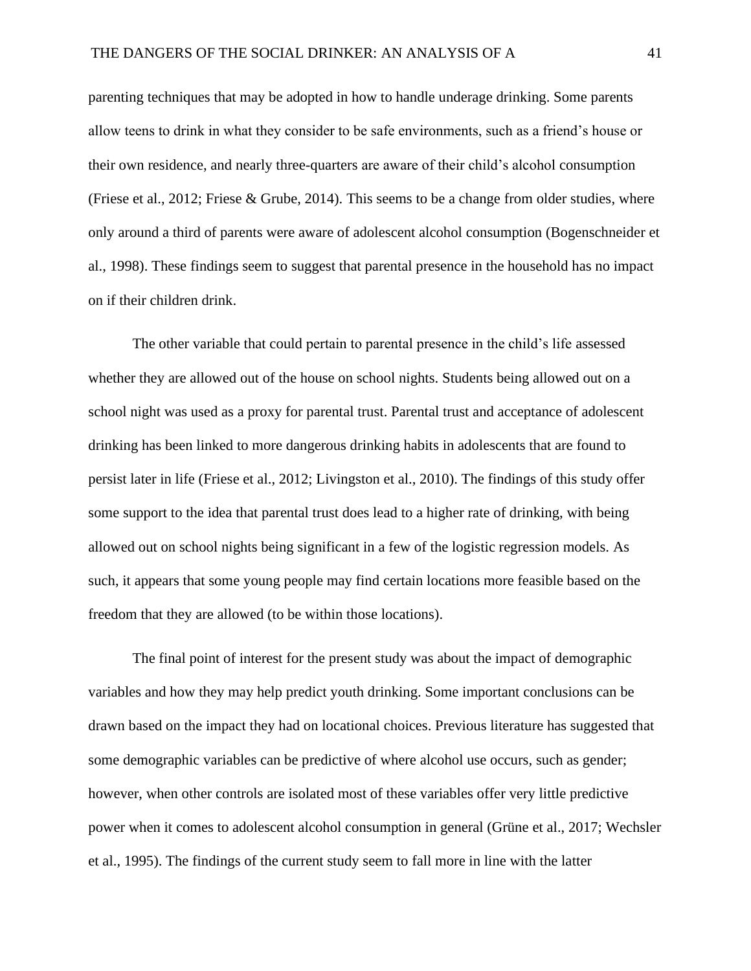parenting techniques that may be adopted in how to handle underage drinking. Some parents allow teens to drink in what they consider to be safe environments, such as a friend's house or their own residence, and nearly three-quarters are aware of their child's alcohol consumption (Friese et al., 2012; Friese & Grube, 2014). This seems to be a change from older studies, where only around a third of parents were aware of adolescent alcohol consumption (Bogenschneider et al., 1998). These findings seem to suggest that parental presence in the household has no impact on if their children drink.

The other variable that could pertain to parental presence in the child's life assessed whether they are allowed out of the house on school nights. Students being allowed out on a school night was used as a proxy for parental trust. Parental trust and acceptance of adolescent drinking has been linked to more dangerous drinking habits in adolescents that are found to persist later in life (Friese et al., 2012; Livingston et al., 2010). The findings of this study offer some support to the idea that parental trust does lead to a higher rate of drinking, with being allowed out on school nights being significant in a few of the logistic regression models. As such, it appears that some young people may find certain locations more feasible based on the freedom that they are allowed (to be within those locations).

The final point of interest for the present study was about the impact of demographic variables and how they may help predict youth drinking. Some important conclusions can be drawn based on the impact they had on locational choices. Previous literature has suggested that some demographic variables can be predictive of where alcohol use occurs, such as gender; however, when other controls are isolated most of these variables offer very little predictive power when it comes to adolescent alcohol consumption in general (Grüne et al., 2017; Wechsler et al., 1995). The findings of the current study seem to fall more in line with the latter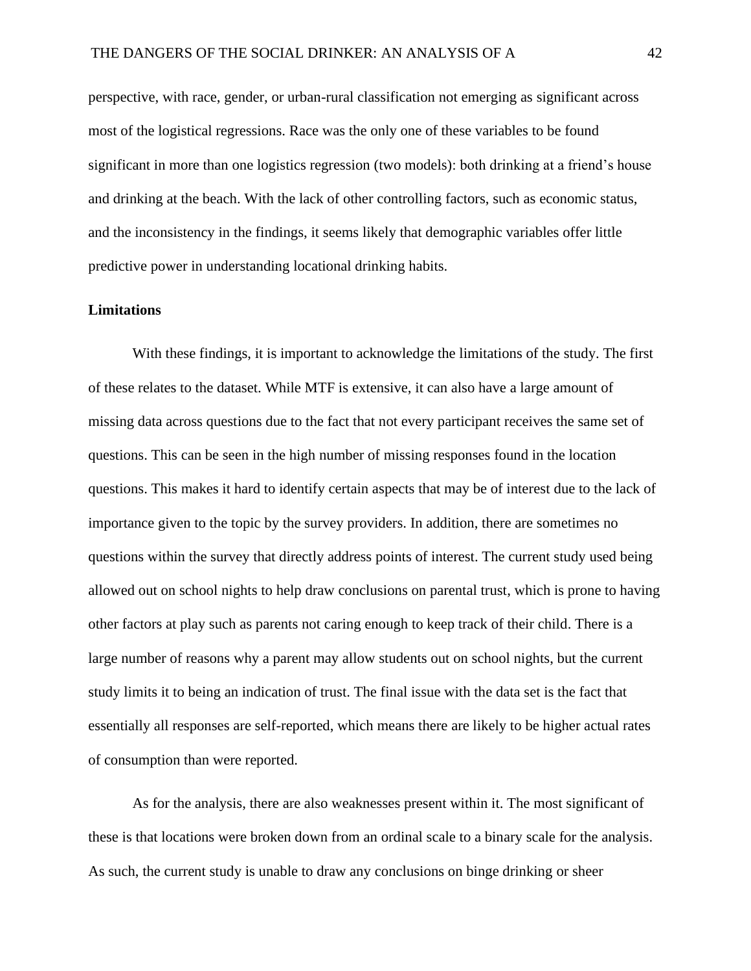perspective, with race, gender, or urban-rural classification not emerging as significant across most of the logistical regressions. Race was the only one of these variables to be found significant in more than one logistics regression (two models): both drinking at a friend's house and drinking at the beach. With the lack of other controlling factors, such as economic status, and the inconsistency in the findings, it seems likely that demographic variables offer little predictive power in understanding locational drinking habits.

# **Limitations**

With these findings, it is important to acknowledge the limitations of the study. The first of these relates to the dataset. While MTF is extensive, it can also have a large amount of missing data across questions due to the fact that not every participant receives the same set of questions. This can be seen in the high number of missing responses found in the location questions. This makes it hard to identify certain aspects that may be of interest due to the lack of importance given to the topic by the survey providers. In addition, there are sometimes no questions within the survey that directly address points of interest. The current study used being allowed out on school nights to help draw conclusions on parental trust, which is prone to having other factors at play such as parents not caring enough to keep track of their child. There is a large number of reasons why a parent may allow students out on school nights, but the current study limits it to being an indication of trust. The final issue with the data set is the fact that essentially all responses are self-reported, which means there are likely to be higher actual rates of consumption than were reported.

As for the analysis, there are also weaknesses present within it. The most significant of these is that locations were broken down from an ordinal scale to a binary scale for the analysis. As such, the current study is unable to draw any conclusions on binge drinking or sheer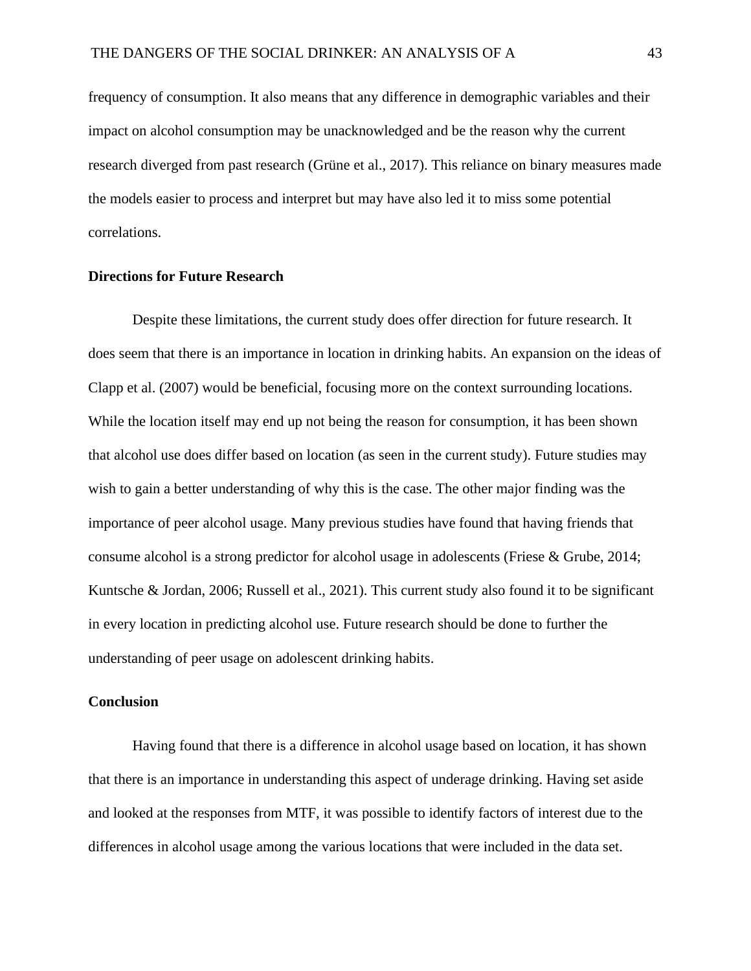frequency of consumption. It also means that any difference in demographic variables and their impact on alcohol consumption may be unacknowledged and be the reason why the current research diverged from past research (Grüne et al., 2017). This reliance on binary measures made the models easier to process and interpret but may have also led it to miss some potential correlations.

# **Directions for Future Research**

Despite these limitations, the current study does offer direction for future research. It does seem that there is an importance in location in drinking habits. An expansion on the ideas of Clapp et al. (2007) would be beneficial, focusing more on the context surrounding locations. While the location itself may end up not being the reason for consumption, it has been shown that alcohol use does differ based on location (as seen in the current study). Future studies may wish to gain a better understanding of why this is the case. The other major finding was the importance of peer alcohol usage. Many previous studies have found that having friends that consume alcohol is a strong predictor for alcohol usage in adolescents (Friese & Grube, 2014; Kuntsche & Jordan, 2006; Russell et al., 2021). This current study also found it to be significant in every location in predicting alcohol use. Future research should be done to further the understanding of peer usage on adolescent drinking habits.

# **Conclusion**

Having found that there is a difference in alcohol usage based on location, it has shown that there is an importance in understanding this aspect of underage drinking. Having set aside and looked at the responses from MTF, it was possible to identify factors of interest due to the differences in alcohol usage among the various locations that were included in the data set.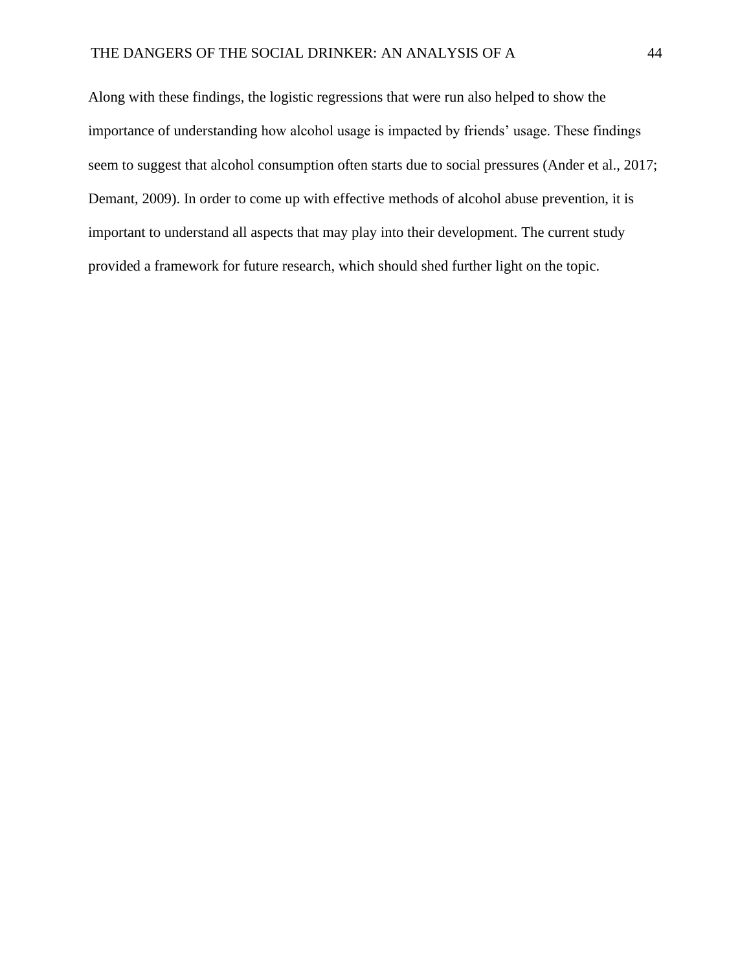Along with these findings, the logistic regressions that were run also helped to show the importance of understanding how alcohol usage is impacted by friends' usage. These findings seem to suggest that alcohol consumption often starts due to social pressures (Ander et al., 2017; Demant, 2009). In order to come up with effective methods of alcohol abuse prevention, it is important to understand all aspects that may play into their development. The current study provided a framework for future research, which should shed further light on the topic.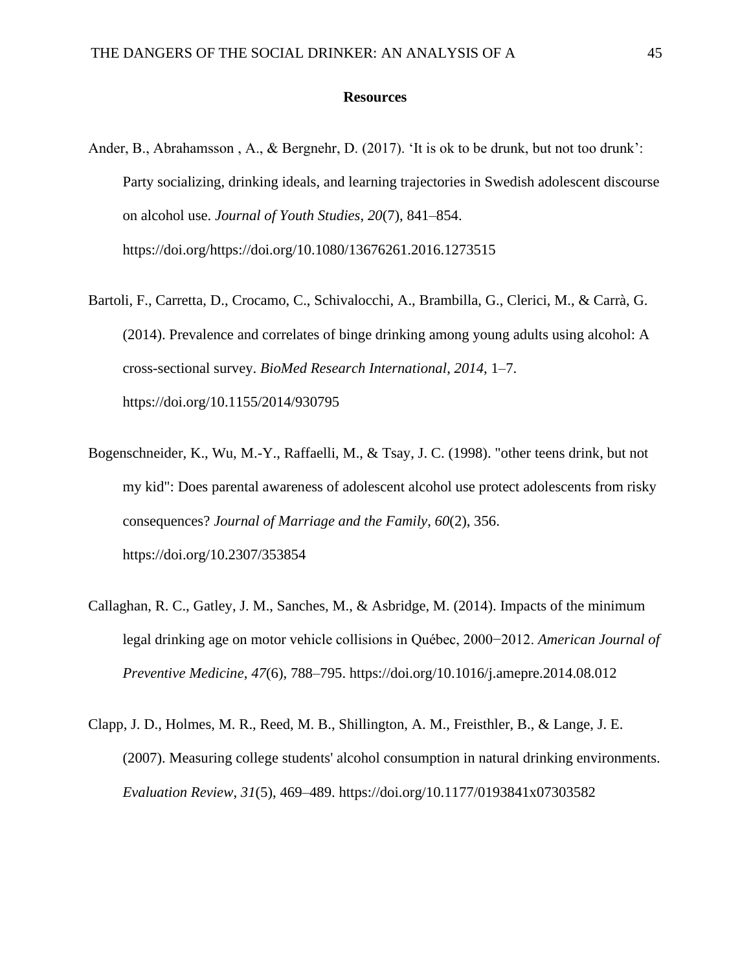## **Resources**

- Ander, B., Abrahamsson , A., & Bergnehr, D. (2017). 'It is ok to be drunk, but not too drunk': Party socializing, drinking ideals, and learning trajectories in Swedish adolescent discourse on alcohol use. *Journal of Youth Studies*, *20*(7), 841–854. https://doi.org/https://doi.org/10.1080/13676261.2016.1273515
- Bartoli, F., Carretta, D., Crocamo, C., Schivalocchi, A., Brambilla, G., Clerici, M., & Carrà, G. (2014). Prevalence and correlates of binge drinking among young adults using alcohol: A cross-sectional survey. *BioMed Research International*, *2014*, 1–7. https://doi.org/10.1155/2014/930795
- Bogenschneider, K., Wu, M.-Y., Raffaelli, M., & Tsay, J. C. (1998). "other teens drink, but not my kid": Does parental awareness of adolescent alcohol use protect adolescents from risky consequences? *Journal of Marriage and the Family*, *60*(2), 356. https://doi.org/10.2307/353854
- Callaghan, R. C., Gatley, J. M., Sanches, M., & Asbridge, M. (2014). Impacts of the minimum legal drinking age on motor vehicle collisions in Québec, 2000−2012. *American Journal of Preventive Medicine*, *47*(6), 788–795. https://doi.org/10.1016/j.amepre.2014.08.012
- Clapp, J. D., Holmes, M. R., Reed, M. B., Shillington, A. M., Freisthler, B., & Lange, J. E. (2007). Measuring college students' alcohol consumption in natural drinking environments. *Evaluation Review*, *31*(5), 469–489. https://doi.org/10.1177/0193841x07303582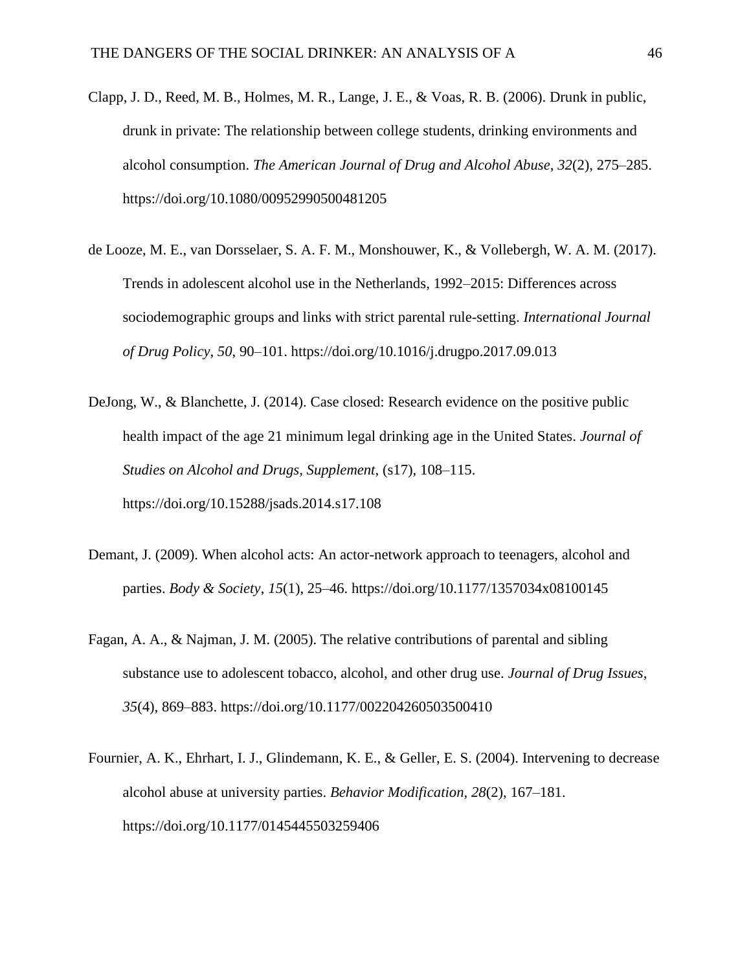- Clapp, J. D., Reed, M. B., Holmes, M. R., Lange, J. E., & Voas, R. B. (2006). Drunk in public, drunk in private: The relationship between college students, drinking environments and alcohol consumption. *The American Journal of Drug and Alcohol Abuse*, *32*(2), 275–285. https://doi.org/10.1080/00952990500481205
- de Looze, M. E., van Dorsselaer, S. A. F. M., Monshouwer, K., & Vollebergh, W. A. M. (2017). Trends in adolescent alcohol use in the Netherlands, 1992–2015: Differences across sociodemographic groups and links with strict parental rule-setting. *International Journal of Drug Policy*, *50*, 90–101. https://doi.org/10.1016/j.drugpo.2017.09.013
- DeJong, W., & Blanchette, J. (2014). Case closed: Research evidence on the positive public health impact of the age 21 minimum legal drinking age in the United States. *Journal of Studies on Alcohol and Drugs, Supplement*, (s17), 108–115. https://doi.org/10.15288/jsads.2014.s17.108
- Demant, J. (2009). When alcohol acts: An actor-network approach to teenagers, alcohol and parties. *Body & Society*, *15*(1), 25–46. https://doi.org/10.1177/1357034x08100145
- Fagan, A. A., & Najman, J. M. (2005). The relative contributions of parental and sibling substance use to adolescent tobacco, alcohol, and other drug use. *Journal of Drug Issues*, *35*(4), 869–883. https://doi.org/10.1177/002204260503500410
- Fournier, A. K., Ehrhart, I. J., Glindemann, K. E., & Geller, E. S. (2004). Intervening to decrease alcohol abuse at university parties. *Behavior Modification*, *28*(2), 167–181. https://doi.org/10.1177/0145445503259406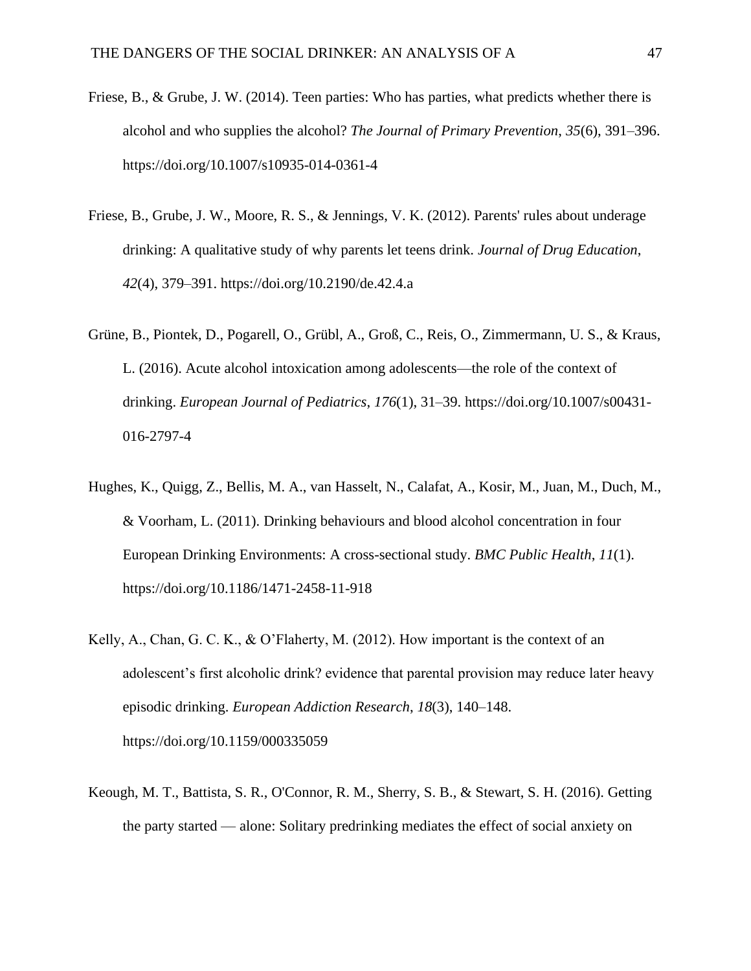- Friese, B., & Grube, J. W. (2014). Teen parties: Who has parties, what predicts whether there is alcohol and who supplies the alcohol? *The Journal of Primary Prevention*, *35*(6), 391–396. https://doi.org/10.1007/s10935-014-0361-4
- Friese, B., Grube, J. W., Moore, R. S., & Jennings, V. K. (2012). Parents' rules about underage drinking: A qualitative study of why parents let teens drink. *Journal of Drug Education*, *42*(4), 379–391. https://doi.org/10.2190/de.42.4.a
- Grüne, B., Piontek, D., Pogarell, O., Grübl, A., Groß, C., Reis, O., Zimmermann, U. S., & Kraus, L. (2016). Acute alcohol intoxication among adolescents—the role of the context of drinking. *European Journal of Pediatrics*, *176*(1), 31–39. https://doi.org/10.1007/s00431- 016-2797-4
- Hughes, K., Quigg, Z., Bellis, M. A., van Hasselt, N., Calafat, A., Kosir, M., Juan, M., Duch, M., & Voorham, L. (2011). Drinking behaviours and blood alcohol concentration in four European Drinking Environments: A cross-sectional study. *BMC Public Health*, *11*(1). https://doi.org/10.1186/1471-2458-11-918
- Kelly, A., Chan, G. C. K., & O'Flaherty, M. (2012). How important is the context of an adolescent's first alcoholic drink? evidence that parental provision may reduce later heavy episodic drinking. *European Addiction Research*, *18*(3), 140–148. https://doi.org/10.1159/000335059
- Keough, M. T., Battista, S. R., O'Connor, R. M., Sherry, S. B., & Stewart, S. H. (2016). Getting the party started — alone: Solitary predrinking mediates the effect of social anxiety on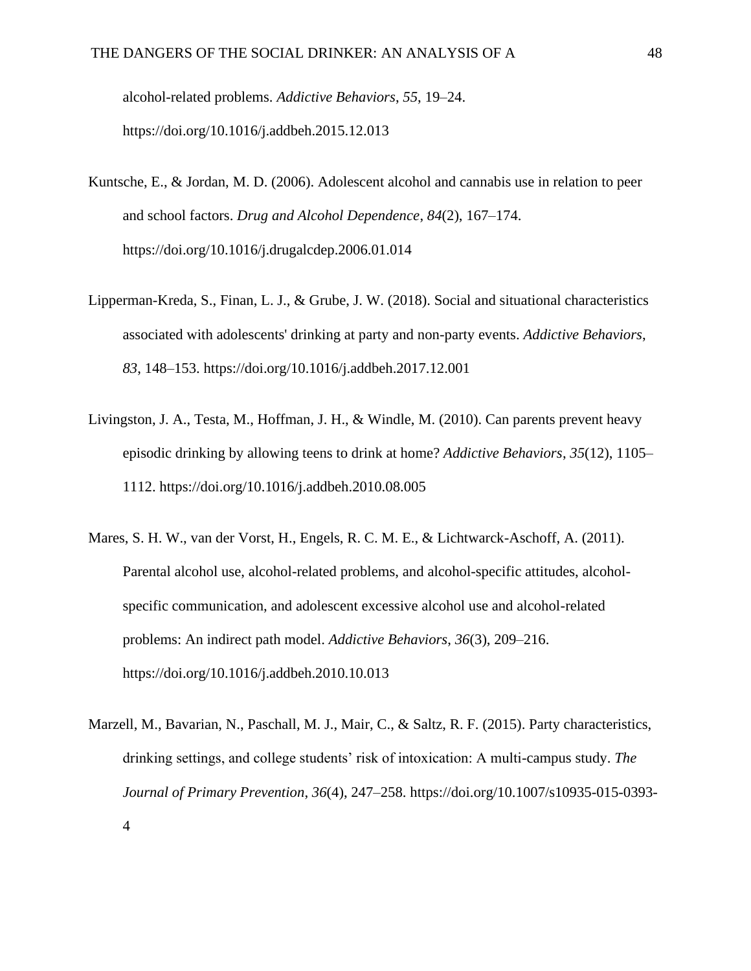alcohol-related problems. *Addictive Behaviors*, *55*, 19–24. https://doi.org/10.1016/j.addbeh.2015.12.013

- Kuntsche, E., & Jordan, M. D. (2006). Adolescent alcohol and cannabis use in relation to peer and school factors. *Drug and Alcohol Dependence*, *84*(2), 167–174. https://doi.org/10.1016/j.drugalcdep.2006.01.014
- Lipperman-Kreda, S., Finan, L. J., & Grube, J. W. (2018). Social and situational characteristics associated with adolescents' drinking at party and non-party events. *Addictive Behaviors*, *83*, 148–153. https://doi.org/10.1016/j.addbeh.2017.12.001
- Livingston, J. A., Testa, M., Hoffman, J. H., & Windle, M. (2010). Can parents prevent heavy episodic drinking by allowing teens to drink at home? *Addictive Behaviors*, *35*(12), 1105– 1112. https://doi.org/10.1016/j.addbeh.2010.08.005
- Mares, S. H. W., van der Vorst, H., Engels, R. C. M. E., & Lichtwarck-Aschoff, A. (2011). Parental alcohol use, alcohol-related problems, and alcohol-specific attitudes, alcoholspecific communication, and adolescent excessive alcohol use and alcohol-related problems: An indirect path model. *Addictive Behaviors*, *36*(3), 209–216. https://doi.org/10.1016/j.addbeh.2010.10.013
- Marzell, M., Bavarian, N., Paschall, M. J., Mair, C., & Saltz, R. F. (2015). Party characteristics, drinking settings, and college students' risk of intoxication: A multi-campus study. *The Journal of Primary Prevention*, *36*(4), 247–258. https://doi.org/10.1007/s10935-015-0393- 4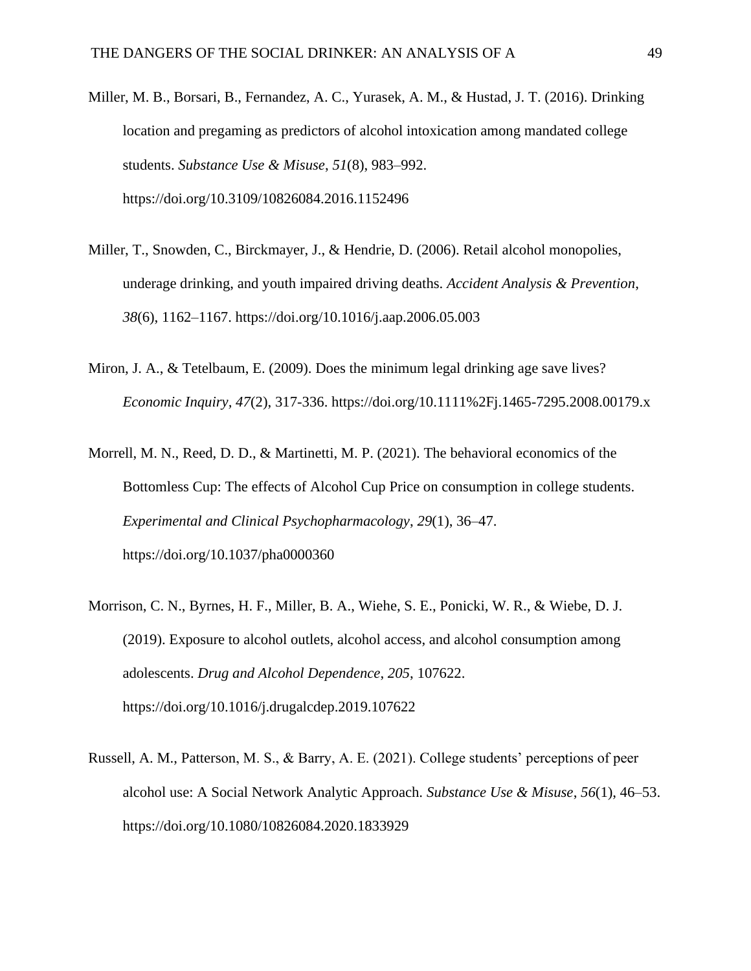- Miller, M. B., Borsari, B., Fernandez, A. C., Yurasek, A. M., & Hustad, J. T. (2016). Drinking location and pregaming as predictors of alcohol intoxication among mandated college students. *Substance Use & Misuse*, *51*(8), 983–992. https://doi.org/10.3109/10826084.2016.1152496
- Miller, T., Snowden, C., Birckmayer, J., & Hendrie, D. (2006). Retail alcohol monopolies, underage drinking, and youth impaired driving deaths. *Accident Analysis & Prevention*, *38*(6), 1162–1167. https://doi.org/10.1016/j.aap.2006.05.003
- Miron, J. A., & Tetelbaum, E. (2009). Does the minimum legal drinking age save lives? *Economic Inquiry, 47*(2), 317-336. https://doi.org/10.1111%2Fj.1465-7295.2008.00179.x
- Morrell, M. N., Reed, D. D., & Martinetti, M. P. (2021). The behavioral economics of the Bottomless Cup: The effects of Alcohol Cup Price on consumption in college students. *Experimental and Clinical Psychopharmacology*, *29*(1), 36–47. https://doi.org/10.1037/pha0000360
- Morrison, C. N., Byrnes, H. F., Miller, B. A., Wiehe, S. E., Ponicki, W. R., & Wiebe, D. J. (2019). Exposure to alcohol outlets, alcohol access, and alcohol consumption among adolescents. *Drug and Alcohol Dependence*, *205*, 107622. https://doi.org/10.1016/j.drugalcdep.2019.107622
- Russell, A. M., Patterson, M. S., & Barry, A. E. (2021). College students' perceptions of peer alcohol use: A Social Network Analytic Approach. *Substance Use & Misuse*, *56*(1), 46–53. https://doi.org/10.1080/10826084.2020.1833929